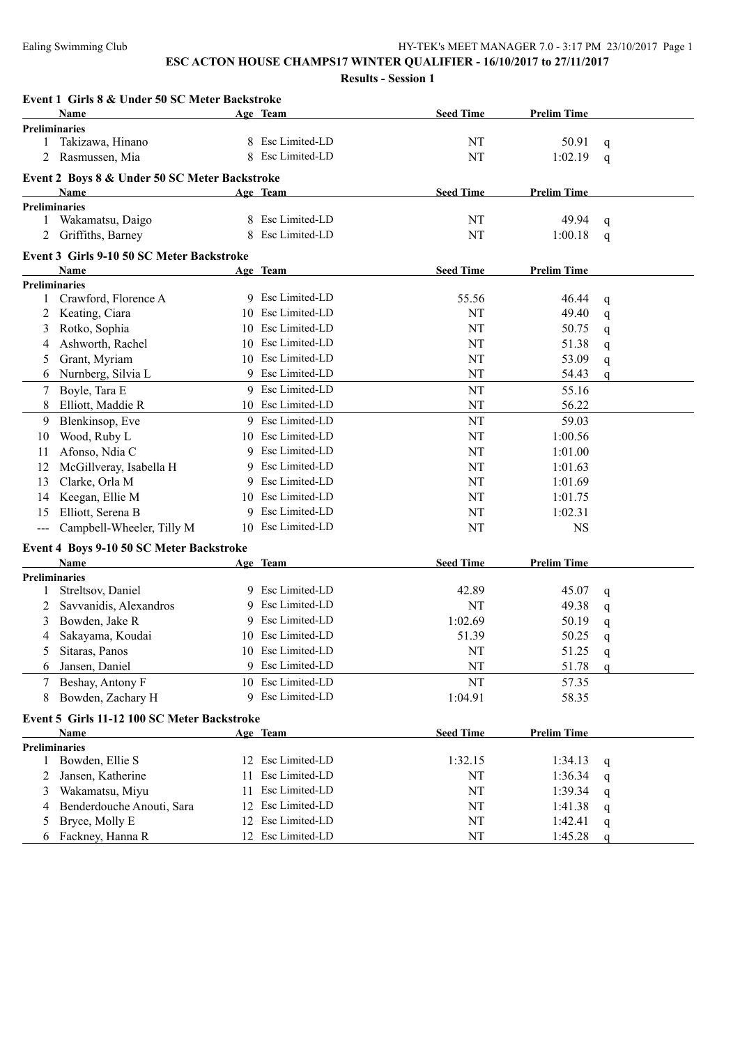|              | Event 1 Girls 8 & Under 50 SC Meter Backstroke |    |                   |                  |                    |             |
|--------------|------------------------------------------------|----|-------------------|------------------|--------------------|-------------|
|              | <b>Name</b>                                    |    | Age Team          | <b>Seed Time</b> | <b>Prelim Time</b> |             |
|              | <b>Preliminaries</b>                           |    |                   |                  |                    |             |
| 1            | Takizawa, Hinano                               |    | 8 Esc Limited-LD  | NT               | 50.91              | q           |
|              | Rasmussen, Mia                                 |    | 8 Esc Limited-LD  | NT               | 1:02.19            | q           |
|              | Event 2 Boys 8 & Under 50 SC Meter Backstroke  |    |                   |                  |                    |             |
|              | <b>Name</b>                                    |    | Age Team          | <b>Seed Time</b> | <b>Prelim Time</b> |             |
|              | <b>Preliminaries</b>                           |    |                   |                  |                    |             |
| 1            | Wakamatsu, Daigo                               |    | 8 Esc Limited-LD  | NT               | 49.94              | q           |
|              | Griffiths, Barney                              |    | 8 Esc Limited-LD  | NT               | 1:00.18            | $\mathbf q$ |
|              | Event 3 Girls 9-10 50 SC Meter Backstroke      |    |                   |                  |                    |             |
|              | Name                                           |    | Age Team          | <b>Seed Time</b> | <b>Prelim Time</b> |             |
|              | Preliminaries                                  |    |                   |                  |                    |             |
| $\mathbf{1}$ | Crawford, Florence A                           |    | 9 Esc Limited-LD  | 55.56            | 46.44              | q           |
| 2            | Keating, Ciara                                 |    | 10 Esc Limited-LD | NT               | 49.40              | q           |
| 3            | Rotko, Sophia                                  |    | 10 Esc Limited-LD | NT               | 50.75              | q           |
| 4            | Ashworth, Rachel                               |    | 10 Esc Limited-LD | NT               | 51.38              | q           |
| 5            | Grant, Myriam                                  |    | 10 Esc Limited-LD | NT               | 53.09              | q           |
| 6            | Nurnberg, Silvia L                             |    | 9 Esc Limited-LD  | NT               | 54.43              | q           |
| 7            | Boyle, Tara E                                  |    | 9 Esc Limited-LD  | NT               | 55.16              |             |
| 8            | Elliott, Maddie R                              |    | 10 Esc Limited-LD | NT               | 56.22              |             |
| 9            | Blenkinsop, Eve                                |    | 9 Esc Limited-LD  | NT               | 59.03              |             |
| 10           | Wood, Ruby L                                   |    | 10 Esc Limited-LD | NT               | 1:00.56            |             |
| 11           | Afonso, Ndia C                                 |    | 9 Esc Limited-LD  | NT               | 1:01.00            |             |
| 12           | McGillveray, Isabella H                        |    | 9 Esc Limited-LD  | NT               | 1:01.63            |             |
| 13           | Clarke, Orla M                                 |    | 9 Esc Limited-LD  | NT               | 1:01.69            |             |
| 14           | Keegan, Ellie M                                |    | 10 Esc Limited-LD | NT               | 1:01.75            |             |
| 15           | Elliott, Serena B                              |    | 9 Esc Limited-LD  | NT               | 1:02.31            |             |
| ---          | Campbell-Wheeler, Tilly M                      |    | 10 Esc Limited-LD | NT               | <b>NS</b>          |             |
|              |                                                |    |                   |                  |                    |             |
|              | Event 4 Boys 9-10 50 SC Meter Backstroke       |    |                   |                  |                    |             |
|              | <b>Name</b><br><b>Preliminaries</b>            |    | Age Team          | <b>Seed Time</b> | <b>Prelim Time</b> |             |
| 1            | Streltsov, Daniel                              |    | 9 Esc Limited-LD  | 42.89            | 45.07              |             |
| 2            | Savvanidis, Alexandros                         |    | 9 Esc Limited-LD  | NT               | 49.38              | q           |
| 3            | Bowden, Jake R                                 |    | 9 Esc Limited-LD  | 1:02.69          | 50.19              | q           |
| 4            | Sakayama, Koudai                               |    | 10 Esc Limited-LD | 51.39            | 50.25              | q           |
|              |                                                |    | 10 Esc Limited-LD | NT               |                    | q           |
| C            | Sitaras, Panos                                 |    | 9 Esc Limited-LD  | NT               | 51.25              | q           |
| 6            | Jansen, Daniel                                 |    |                   |                  | 51.78              | a           |
| 7            | Beshay, Antony F                               |    | 10 Esc Limited-LD | NT               | 57.35              |             |
| 8            | Bowden, Zachary H                              |    | 9 Esc Limited-LD  | 1:04.91          | 58.35              |             |
|              | Event 5 Girls 11-12 100 SC Meter Backstroke    |    |                   |                  |                    |             |
|              | Name                                           |    | Age Team          | <b>Seed Time</b> | <b>Prelim Time</b> |             |
|              | <b>Preliminaries</b>                           |    |                   |                  |                    |             |
| $\mathbf{1}$ | Bowden, Ellie S                                |    | 12 Esc Limited-LD | 1:32.15          | 1:34.13            | q           |
| 2            | Jansen, Katherine                              | 11 | Esc Limited-LD    | NT               | 1:36.34            | q           |
| 3            | Wakamatsu, Miyu                                | 11 | Esc Limited-LD    | NT               | 1:39.34            | q           |
| 4            | Benderdouche Anouti, Sara                      |    | 12 Esc Limited-LD | NT               | 1:41.38            | q           |
| 5            | Bryce, Molly E                                 |    | 12 Esc Limited-LD | NT               | 1:42.41            | q           |
| 6            | Fackney, Hanna R                               |    | 12 Esc Limited-LD | NT               | 1:45.28            | q           |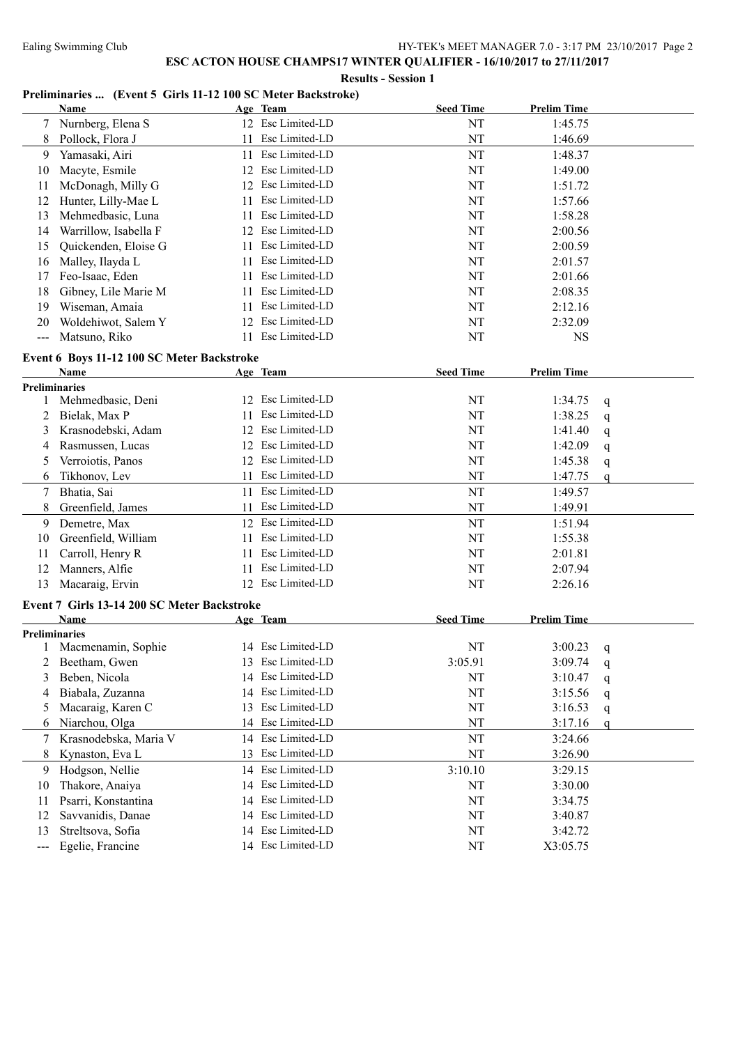**Results - Session 1**

#### **Preliminaries ... (Event 5 Girls 11-12 100 SC Meter Backstroke)**

|                   | Name                                               |    | Age Team          | <b>Seed Time</b> | <b>Prelim Time</b> |              |
|-------------------|----------------------------------------------------|----|-------------------|------------------|--------------------|--------------|
|                   | 7 Nurnberg, Elena S                                |    | 12 Esc Limited-LD | NT               | 1:45.75            |              |
| 8                 | Pollock, Flora J                                   | 11 | Esc Limited-LD    | NT               | 1:46.69            |              |
| 9                 | Yamasaki, Airi                                     | 11 | Esc Limited-LD    | NT               | 1:48.37            |              |
| 10                | Macyte, Esmile                                     |    | 12 Esc Limited-LD | NT               | 1:49.00            |              |
| 11                | McDonagh, Milly G                                  |    | 12 Esc Limited-LD | NT               | 1:51.72            |              |
| 12                | Hunter, Lilly-Mae L                                | 11 | Esc Limited-LD    | NT               | 1:57.66            |              |
| 13                | Mehmedbasic, Luna                                  | 11 | Esc Limited-LD    | NT               | 1:58.28            |              |
| 14                | Warrillow, Isabella F                              |    | 12 Esc Limited-LD | NT               | 2:00.56            |              |
| 15                | Quickenden, Eloise G                               | 11 | Esc Limited-LD    | NT               | 2:00.59            |              |
| 16                | Malley, Ilayda L                                   | 11 | Esc Limited-LD    | NT               | 2:01.57            |              |
| 17                | Feo-Isaac, Eden                                    | 11 | Esc Limited-LD    | NT               | 2:01.66            |              |
| 18                | Gibney, Lile Marie M                               | 11 | Esc Limited-LD    | NT               | 2:08.35            |              |
| 19                | Wiseman, Amaia                                     | 11 | Esc Limited-LD    | NT               | 2:12.16            |              |
| 20                | Woldehiwot, Salem Y                                | 12 | Esc Limited-LD    | NT               | 2:32.09            |              |
| $---$             | Matsuno, Riko                                      |    | 11 Esc Limited-LD | NT               | <b>NS</b>          |              |
|                   |                                                    |    |                   |                  |                    |              |
|                   | Event 6 Boys 11-12 100 SC Meter Backstroke<br>Name |    |                   | <b>Seed Time</b> | <b>Prelim Time</b> |              |
|                   | <b>Preliminaries</b>                               |    | Age Team          |                  |                    |              |
| 1                 | Mehmedbasic, Deni                                  |    | 12 Esc Limited-LD | NT               | 1:34.75            | q            |
| 2                 | Bielak, Max P                                      | 11 | Esc Limited-LD    | NT               | 1:38.25            | $\mathsf{q}$ |
| 3                 | Krasnodebski, Adam                                 |    | 12 Esc Limited-LD | NT               | 1:41.40            | q            |
| 4                 | Rasmussen, Lucas                                   |    | 12 Esc Limited-LD | NT               | 1:42.09            | q            |
| 5                 | Verroiotis, Panos                                  |    | 12 Esc Limited-LD | NT               | 1:45.38            | q            |
| 6                 | Tikhonov, Lev                                      |    | 11 Esc Limited-LD | NT               | 1:47.75            | q            |
| 7                 | Bhatia, Sai                                        |    | 11 Esc Limited-LD | NT               | 1:49.57            |              |
| 8                 | Greenfield, James                                  | 11 | Esc Limited-LD    | NT               | 1:49.91            |              |
| 9                 | Demetre, Max                                       |    | 12 Esc Limited-LD | NT               | 1:51.94            |              |
| 10                | Greenfield, William                                | 11 | Esc Limited-LD    | NT               | 1:55.38            |              |
| 11                | Carroll, Henry R                                   | 11 | Esc Limited-LD    | NT               | 2:01.81            |              |
| 12                | Manners, Alfie                                     | 11 | Esc Limited-LD    | NT               | 2:07.94            |              |
| 13                | Macaraig, Ervin                                    |    | 12 Esc Limited-LD | NT               | 2:26.16            |              |
|                   |                                                    |    |                   |                  |                    |              |
|                   | Event 7 Girls 13-14 200 SC Meter Backstroke        |    |                   |                  |                    |              |
|                   | <b>Name</b>                                        |    | Age Team          | <b>Seed Time</b> | <b>Prelim Time</b> |              |
|                   | <b>Preliminaries</b><br>1 Macmenamin, Sophie       |    | 14 Esc Limited-LD | NT               | 3:00.23            |              |
|                   | 2 Beetham, Gwen                                    |    | 13 Esc Limited-LD | 3:05.91          | 3:09.74            | q            |
|                   | Beben, Nicola                                      |    | 14 Esc Limited-LD |                  |                    | $\mathbf q$  |
| 3                 | Biabala, Zuzanna                                   | 14 | Esc Limited-LD    | NT<br>NT         | 3:10.47<br>3:15.56 | q            |
| 4                 | Macaraig, Karen C                                  | 13 | Esc Limited-LD    |                  |                    | q            |
| 5                 |                                                    |    | 14 Esc Limited-LD | NT<br>NT         | 3:16.53            | q            |
| 6                 | Niarchou, Olga                                     |    | Esc Limited-LD    |                  | 3:17.16            | q            |
| 7                 | Krasnodebska, Maria V                              | 14 | Esc Limited-LD    | NT               | 3:24.66            |              |
| 8                 | Kynaston, Eva L                                    | 13 |                   | NT               | 3:26.90            |              |
| 9                 | Hodgson, Nellie                                    | 14 | Esc Limited-LD    | 3:10.10          | 3:29.15            |              |
| 10                | Thakore, Anaiya                                    | 14 | Esc Limited-LD    | NT               | 3:30.00            |              |
| 11                | Psarri, Konstantina                                | 14 | Esc Limited-LD    | NT               | 3:34.75            |              |
| 12                | Savvanidis, Danae                                  | 14 | Esc Limited-LD    | NT               | 3:40.87            |              |
| 13                | Streltsova, Sofia                                  |    | 14 Esc Limited-LD | NT               | 3:42.72            |              |
| $\qquad \qquad -$ | Egelie, Francine                                   |    | 14 Esc Limited-LD | NT               | X3:05.75           |              |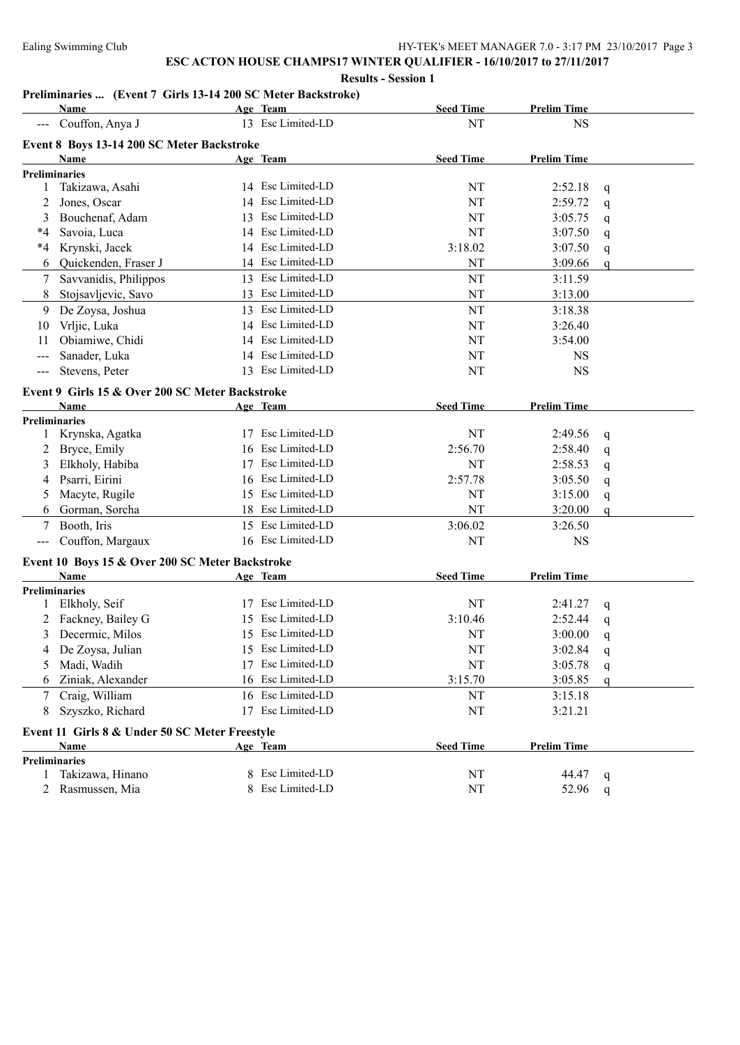#### **Results - Session 1**

## **Preliminaries ... (Event 7 Girls 13-14 200 SC Meter Backstroke)**

|                                          | Name                                            |    | Age Team          | <b>Seed Time</b> | <b>Prelim Time</b> |              |
|------------------------------------------|-------------------------------------------------|----|-------------------|------------------|--------------------|--------------|
|                                          | Couffon, Anya J                                 |    | 13 Esc Limited-LD | NT               | <b>NS</b>          |              |
|                                          | Event 8 Boys 13-14 200 SC Meter Backstroke      |    |                   |                  |                    |              |
|                                          | Name                                            |    | Age Team          | <b>Seed Time</b> | <b>Prelim Time</b> |              |
|                                          | <b>Preliminaries</b>                            |    |                   |                  |                    |              |
| 1                                        | Takizawa, Asahi                                 |    | 14 Esc Limited-LD | NT               | 2:52.18            | q            |
| 2                                        | Jones, Oscar                                    |    | 14 Esc Limited-LD | NT               | 2:59.72            | q            |
| 3                                        | Bouchenaf, Adam                                 | 13 | Esc Limited-LD    | NT               | 3:05.75            | $\mathsf{q}$ |
| *4                                       | Savoia, Luca                                    |    | 14 Esc Limited-LD | NT               | 3:07.50            | q            |
| $*_{4}$                                  | Krynski, Jacek                                  |    | 14 Esc Limited-LD | 3:18.02          | 3:07.50            | q            |
| 6                                        | Quickenden, Fraser J                            |    | 14 Esc Limited-LD | NT               | 3:09.66            | $\mathsf{q}$ |
| 7                                        | Savvanidis, Philippos                           |    | 13 Esc Limited-LD | NT               | 3:11.59            |              |
| 8                                        | Stojsavljevic, Savo                             |    | 13 Esc Limited-LD | NT               | 3:13.00            |              |
| 9                                        | De Zoysa, Joshua                                |    | 13 Esc Limited-LD | NT               | 3:18.38            |              |
| 10                                       | Vrljic, Luka                                    |    | 14 Esc Limited-LD | NT               | 3:26.40            |              |
| 11                                       | Obiamiwe, Chidi                                 |    | 14 Esc Limited-LD | NT               | 3:54.00            |              |
| $--$                                     | Sanader, Luka                                   |    | 14 Esc Limited-LD | NT               | <b>NS</b>          |              |
| $---$                                    | Stevens, Peter                                  |    | 13 Esc Limited-LD | NT               | <b>NS</b>          |              |
|                                          | Event 9 Girls 15 & Over 200 SC Meter Backstroke |    |                   |                  |                    |              |
|                                          | <b>Name</b>                                     |    | Age Team          | <b>Seed Time</b> | <b>Prelim Time</b> |              |
|                                          | <b>Preliminaries</b>                            |    |                   |                  |                    |              |
|                                          | Krynska, Agatka                                 |    | 17 Esc Limited-LD | NT               | 2:49.56            | q            |
| 2                                        | Bryce, Emily                                    |    | 16 Esc Limited-LD | 2:56.70          | 2:58.40            | q            |
|                                          | Elkholy, Habiba                                 |    | 17 Esc Limited-LD | NT               | 2:58.53            | q            |
| 4                                        | Psarri, Eirini                                  |    | 16 Esc Limited-LD | 2:57.78          | 3:05.50            | q            |
| 5                                        | Macyte, Rugile                                  |    | 15 Esc Limited-LD | NT               | 3:15.00            | q            |
| 6                                        | Gorman, Sorcha                                  |    | 18 Esc Limited-LD | NT               | 3:20.00            | q            |
|                                          | Booth, Iris                                     | 15 | Esc Limited-LD    | 3:06.02          | 3:26.50            |              |
| $\hspace{0.05cm} \ldots \hspace{0.05cm}$ | Couffon, Margaux                                |    | 16 Esc Limited-LD | NT               | <b>NS</b>          |              |
|                                          | Event 10 Boys 15 & Over 200 SC Meter Backstroke |    |                   |                  |                    |              |
|                                          | Name                                            |    | Age Team          | <b>Seed Time</b> | <b>Prelim Time</b> |              |
|                                          | <b>Preliminaries</b>                            |    |                   |                  |                    |              |
|                                          | Elkholy, Seif                                   |    | 17 Esc Limited-LD | NT               | 2:41.27            | q            |
| 2                                        | Fackney, Bailey G                               |    | 15 Esc Limited-LD | 3:10.46          | 2:52.44            | q            |
| 3                                        | Decermic, Milos                                 |    | 15 Esc Limited-LD | NT               | 3:00.00            | q            |
| 4                                        | De Zoysa, Julian                                |    | 15 Esc Limited-LD | NT               | 3:02.84            | q            |
|                                          | Madi, Wadih                                     |    | 17 Esc Limited-LD | NT               | 3:05.78            | q            |
| 6                                        | Ziniak, Alexander                               |    | 16 Esc Limited-LD | 3:15.70          | 3:05.85            | $\mathsf{q}$ |
| 7                                        | Craig, William                                  |    | 16 Esc Limited-LD | NT               | 3:15.18            |              |
| 8                                        | Szyszko, Richard                                |    | 17 Esc Limited-LD | NT               | 3:21.21            |              |
|                                          | Event 11 Girls 8 & Under 50 SC Meter Freestyle  |    |                   |                  |                    |              |
|                                          | Name                                            |    | Age Team          | <b>Seed Time</b> | <b>Prelim Time</b> |              |
|                                          | <b>Preliminaries</b>                            |    |                   |                  |                    |              |
|                                          | Takizawa, Hinano                                |    | 8 Esc Limited-LD  | NT               | 44.47              | q            |
|                                          | Rasmussen, Mia                                  |    | 8 Esc Limited-LD  | NT               | 52.96              | q            |
|                                          |                                                 |    |                   |                  |                    |              |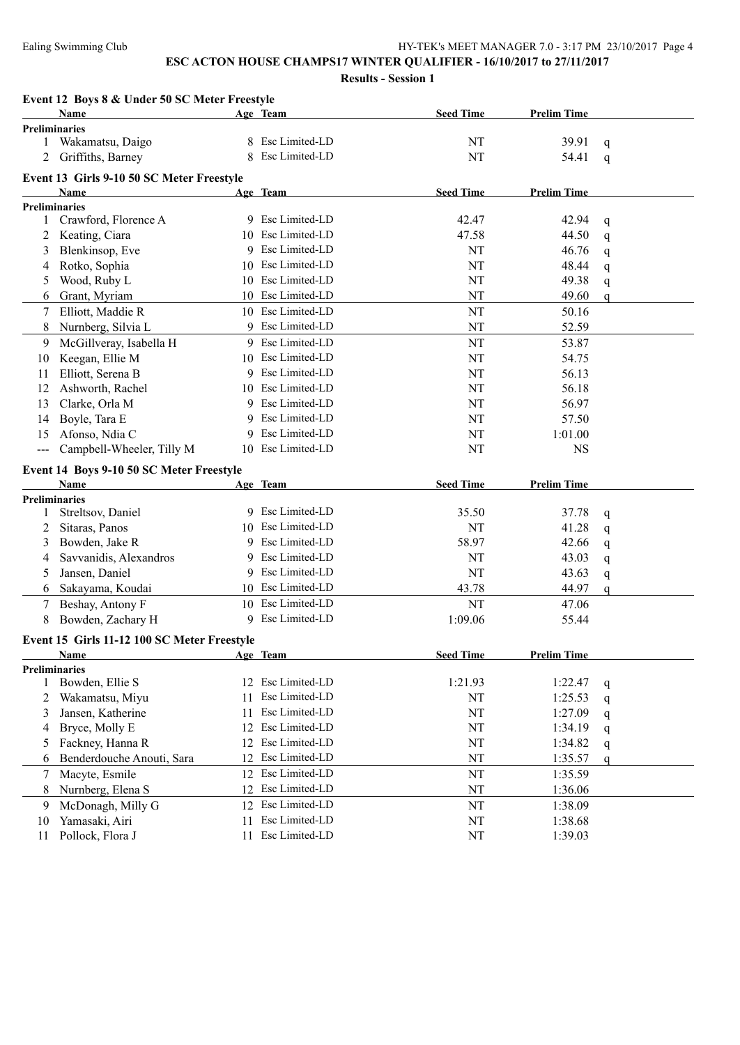|                                          | Event 12 Boys 8 & Under 50 SC Meter Freestyle    |    |                   |                  |                    |             |
|------------------------------------------|--------------------------------------------------|----|-------------------|------------------|--------------------|-------------|
|                                          | Name                                             |    | Age Team          | <b>Seed Time</b> | <b>Prelim Time</b> |             |
|                                          | <b>Preliminaries</b>                             |    |                   |                  |                    |             |
| 1                                        | Wakamatsu, Daigo                                 |    | 8 Esc Limited-LD  | NT               | 39.91              | q           |
|                                          | Griffiths, Barney                                | 8  | Esc Limited-LD    | NT               | 54.41              | q           |
|                                          | Event 13 Girls 9-10 50 SC Meter Freestyle        |    |                   |                  |                    |             |
|                                          | Name                                             |    | Age Team          | <b>Seed Time</b> | <b>Prelim Time</b> |             |
|                                          | <b>Preliminaries</b>                             |    |                   |                  |                    |             |
|                                          | 1 Crawford, Florence A                           |    | 9 Esc Limited-LD  | 42.47            | 42.94              | $\mathbf q$ |
| 2                                        | Keating, Ciara                                   |    | 10 Esc Limited-LD | 47.58            | 44.50              | $\mathbf q$ |
| 3                                        | Blenkinsop, Eve                                  |    | 9 Esc Limited-LD  | NT               | 46.76              | $\mathbf q$ |
| 4                                        | Rotko, Sophia                                    | 10 | Esc Limited-LD    | NT               | 48.44              | $\mathbf q$ |
| 5                                        | Wood, Ruby L                                     |    | 10 Esc Limited-LD | NT               | 49.38              | q           |
| 6                                        | Grant, Myriam                                    |    | 10 Esc Limited-LD | NT               | 49.60              | q           |
| 7                                        | Elliott, Maddie R                                |    | 10 Esc Limited-LD | NT               | 50.16              |             |
| 8                                        | Nurnberg, Silvia L                               |    | 9 Esc Limited-LD  | NT               | 52.59              |             |
| 9                                        | McGillveray, Isabella H                          |    | 9 Esc Limited-LD  | NT               | 53.87              |             |
| 10                                       | Keegan, Ellie M                                  |    | 10 Esc Limited-LD | NT               | 54.75              |             |
| 11                                       | Elliott, Serena B                                |    | 9 Esc Limited-LD  | NT               | 56.13              |             |
| 12                                       | Ashworth, Rachel                                 |    | 10 Esc Limited-LD | NT               | 56.18              |             |
| 13                                       | Clarke, Orla M                                   |    | 9 Esc Limited-LD  | NT               | 56.97              |             |
| 14                                       | Boyle, Tara E                                    |    | 9 Esc Limited-LD  | NT               | 57.50              |             |
| 15                                       | Afonso, Ndia C                                   | 9  | Esc Limited-LD    | NT               | 1:01.00            |             |
| $\hspace{0.05cm} \ldots \hspace{0.05cm}$ | Campbell-Wheeler, Tilly M                        |    | 10 Esc Limited-LD | NT               | <b>NS</b>          |             |
|                                          |                                                  |    |                   |                  |                    |             |
|                                          | Event 14 Boys 9-10 50 SC Meter Freestyle<br>Name |    | Age Team          | <b>Seed Time</b> | <b>Prelim Time</b> |             |
|                                          |                                                  |    |                   |                  |                    |             |
|                                          |                                                  |    |                   |                  |                    |             |
|                                          | <b>Preliminaries</b>                             |    |                   |                  |                    |             |
| 1                                        | Streltsov, Daniel                                |    | 9 Esc Limited-LD  | 35.50            | 37.78              | q           |
| 2                                        | Sitaras, Panos                                   |    | 10 Esc Limited-LD | NT               | 41.28              | q           |
| 3                                        | Bowden, Jake R                                   |    | 9 Esc Limited-LD  | 58.97            | 42.66              | q           |
| 4                                        | Savvanidis, Alexandros                           |    | 9 Esc Limited-LD  | NT               | 43.03              | q           |
| 5                                        | Jansen, Daniel                                   |    | 9 Esc Limited-LD  | NT               | 43.63              | q           |
| 6                                        | Sakayama, Koudai                                 |    | 10 Esc Limited-LD | 43.78            | 44.97              | q           |
| 7                                        | Beshay, Antony F                                 |    | 10 Esc Limited-LD | <b>NT</b>        | 47.06              |             |
| 8                                        | Bowden, Zachary H                                |    | 9 Esc Limited-LD  | 1:09.06          | 55.44              |             |
|                                          | Event 15 Girls 11-12 100 SC Meter Freestyle      |    |                   |                  |                    |             |
|                                          | <b>Name</b>                                      |    | Age Team          | <b>Seed Time</b> | <b>Prelim Time</b> |             |
|                                          | <b>Preliminaries</b>                             |    |                   |                  |                    |             |
| 1                                        | Bowden, Ellie S                                  | 12 | Esc Limited-LD    | 1:21.93          | 1:22.47            | q           |
| 2                                        | Wakamatsu, Miyu                                  | 11 | Esc Limited-LD    | NT               | 1:25.53            | q           |
| 3                                        | Jansen, Katherine                                | 11 | Esc Limited-LD    | NT               | 1:27.09            | q           |
| 4                                        | Bryce, Molly E                                   | 12 | Esc Limited-LD    | NT               | 1:34.19            | q           |
| 5                                        | Fackney, Hanna R                                 | 12 | Esc Limited-LD    | NT               | 1:34.82            | q           |
| 6                                        | Benderdouche Anouti, Sara                        | 12 | Esc Limited-LD    | NT               | 1:35.57            | q           |
| 7                                        | Macyte, Esmile                                   | 12 | Esc Limited-LD    | $\rm{NT}$        | 1:35.59            |             |
| 8                                        | Nurnberg, Elena S                                | 12 | Esc Limited-LD    | NT               | 1:36.06            |             |
| 9                                        | McDonagh, Milly G                                | 12 | Esc Limited-LD    | NT               | 1:38.09            |             |
| 10                                       | Yamasaki, Airi                                   | 11 | Esc Limited-LD    | $\rm{NT}$        | 1:38.68            |             |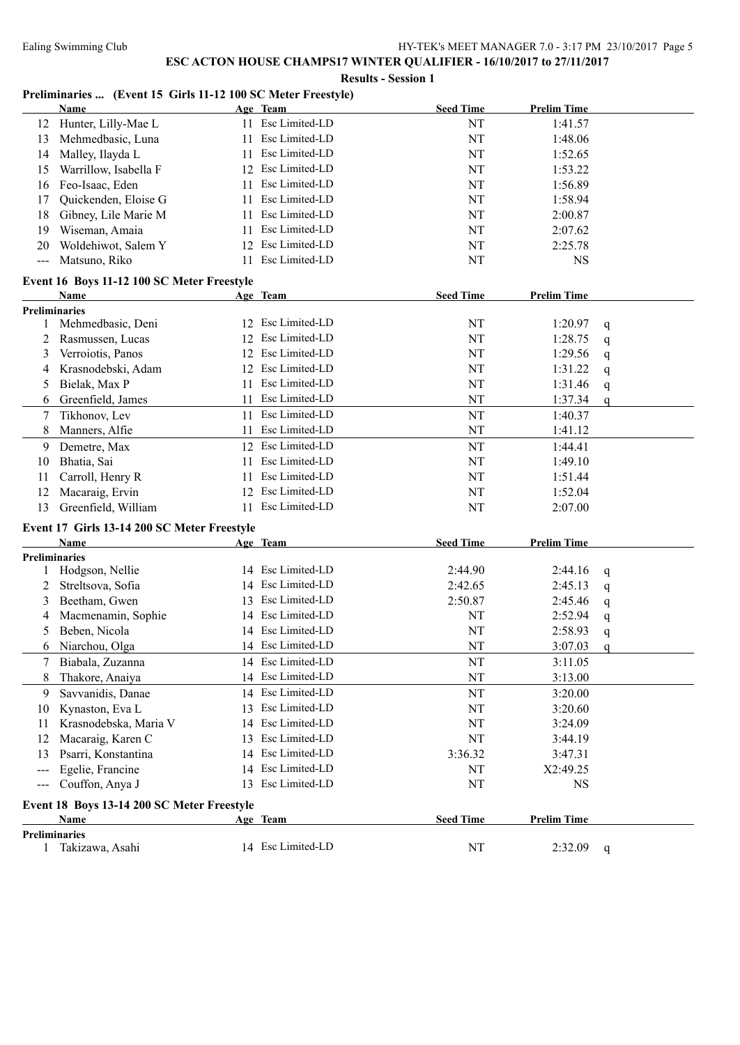#### **Results - Session 1**

#### **Preliminaries ... (Event 15 Girls 11-12 100 SC Meter Freestyle)**

|                      | <b>Name</b>                                 |    | Age Team          | <b>Seed Time</b> | <b>Prelim Time</b> |              |
|----------------------|---------------------------------------------|----|-------------------|------------------|--------------------|--------------|
| 12                   | Hunter, Lilly-Mae L                         |    | 11 Esc Limited-LD | NT               | 1:41.57            |              |
| 13                   | Mehmedbasic, Luna                           | 11 | Esc Limited-LD    | NT               | 1:48.06            |              |
| 14                   | Malley, Ilayda L                            | 11 | Esc Limited-LD    | NT               | 1:52.65            |              |
| 15                   | Warrillow, Isabella F                       | 12 | Esc Limited-LD    | NT               | 1:53.22            |              |
| 16                   | Feo-Isaac, Eden                             | 11 | Esc Limited-LD    | NT               | 1:56.89            |              |
| 17                   | Quickenden, Eloise G                        | 11 | Esc Limited-LD    | NT               | 1:58.94            |              |
| 18                   | Gibney, Lile Marie M                        | 11 | Esc Limited-LD    | NT               | 2:00.87            |              |
| 19                   | Wiseman, Amaia                              | 11 | Esc Limited-LD    | NT               | 2:07.62            |              |
| 20                   | Woldehiwot, Salem Y                         | 12 | Esc Limited-LD    | NT               | 2:25.78            |              |
| $---$                | Matsuno, Riko                               | 11 | Esc Limited-LD    | NT               | <b>NS</b>          |              |
|                      | Event 16 Boys 11-12 100 SC Meter Freestyle  |    |                   |                  |                    |              |
|                      | Name                                        |    | Age Team          | <b>Seed Time</b> | <b>Prelim Time</b> |              |
| <b>Preliminaries</b> |                                             |    |                   |                  |                    |              |
| 1                    | Mehmedbasic, Deni                           |    | 12 Esc Limited-LD | NT               | 1:20.97            | q            |
| 2                    | Rasmussen, Lucas                            |    | 12 Esc Limited-LD | NT               | 1:28.75            | q            |
| 3                    | Verroiotis, Panos                           |    | 12 Esc Limited-LD | NT               | 1:29.56            | q            |
| 4                    | Krasnodebski, Adam                          |    | 12 Esc Limited-LD | NT               | 1:31.22            | q            |
| 5                    | Bielak, Max P                               | 11 | Esc Limited-LD    | NT               | 1:31.46            | q            |
| 6                    | Greenfield, James                           | 11 | Esc Limited-LD    | NT               | 1:37.34            | $\mathbf q$  |
| 7                    | Tikhonov, Lev                               | 11 | Esc Limited-LD    | NT               | 1:40.37            |              |
| 8                    | Manners, Alfie                              | 11 | Esc Limited-LD    | NT               | 1:41.12            |              |
| 9                    | Demetre, Max                                |    | 12 Esc Limited-LD | NT               | 1:44.41            |              |
| 10                   | Bhatia, Sai                                 | 11 | Esc Limited-LD    | NT               | 1:49.10            |              |
| 11                   | Carroll, Henry R                            | 11 | Esc Limited-LD    | NT               | 1:51.44            |              |
| 12                   | Macaraig, Ervin                             | 12 | Esc Limited-LD    | NT               | 1:52.04            |              |
| 13                   | Greenfield, William                         | 11 | Esc Limited-LD    | NT               | 2:07.00            |              |
|                      | Event 17 Girls 13-14 200 SC Meter Freestyle |    |                   |                  |                    |              |
|                      | Name                                        |    | Age Team          | <b>Seed Time</b> | <b>Prelim Time</b> |              |
| <b>Preliminaries</b> |                                             |    |                   |                  |                    |              |
| 1                    | Hodgson, Nellie                             |    | 14 Esc Limited-LD | 2:44.90          | 2:44.16            | q            |
| 2                    | Streltsova, Sofia                           | 14 | Esc Limited-LD    | 2:42.65          | 2:45.13            | q            |
| 3                    | Beetham, Gwen                               | 13 | Esc Limited-LD    | 2:50.87          | 2:45.46            | q            |
| 4                    | Macmenamin, Sophie                          | 14 | Esc Limited-LD    | NT               | 2:52.94            | q            |
| 5                    | Beben, Nicola                               | 14 | Esc Limited-LD    | NT               | 2:58.93            | q            |
| 6                    | Niarchou, Olga                              |    | 14 Esc Limited-LD | NT               | 3:07.03            | $\mathsf{q}$ |
|                      | 7 Biabala, Zuzanna                          |    | 14 Esc Limited-LD | NT               | 3:11.05            |              |
| 8                    | Thakore, Anaiya                             |    | 14 Esc Limited-LD | NT               | 3:13.00            |              |
| 9                    | Savvanidis, Danae                           | 14 | Esc Limited-LD    | NT               | 3:20.00            |              |
| 10                   | Kynaston, Eva L                             | 13 | Esc Limited-LD    | NT               | 3:20.60            |              |
| 11                   | Krasnodebska, Maria V                       | 14 | Esc Limited-LD    | NT               | 3:24.09            |              |
| 12                   | Macaraig, Karen C                           | 13 | Esc Limited-LD    | NT               | 3:44.19            |              |
| 13                   | Psarri, Konstantina                         | 14 | Esc Limited-LD    | 3:36.32          | 3:47.31            |              |
| ---                  | Egelie, Francine                            | 14 | Esc Limited-LD    | NT               | X2:49.25           |              |
| $---$                | Couffon, Anya J                             | 13 | Esc Limited-LD    | NT               | <b>NS</b>          |              |
|                      | Event 18 Boys 13-14 200 SC Meter Freestyle  |    |                   |                  |                    |              |
|                      | Name                                        |    | Age Team          | <b>Seed Time</b> | <b>Prelim Time</b> |              |
| <b>Preliminaries</b> |                                             |    |                   |                  |                    |              |
|                      | 1 Takizawa, Asahi                           |    | 14 Esc Limited-LD | NT               | 2:32.09            | $\mathbf q$  |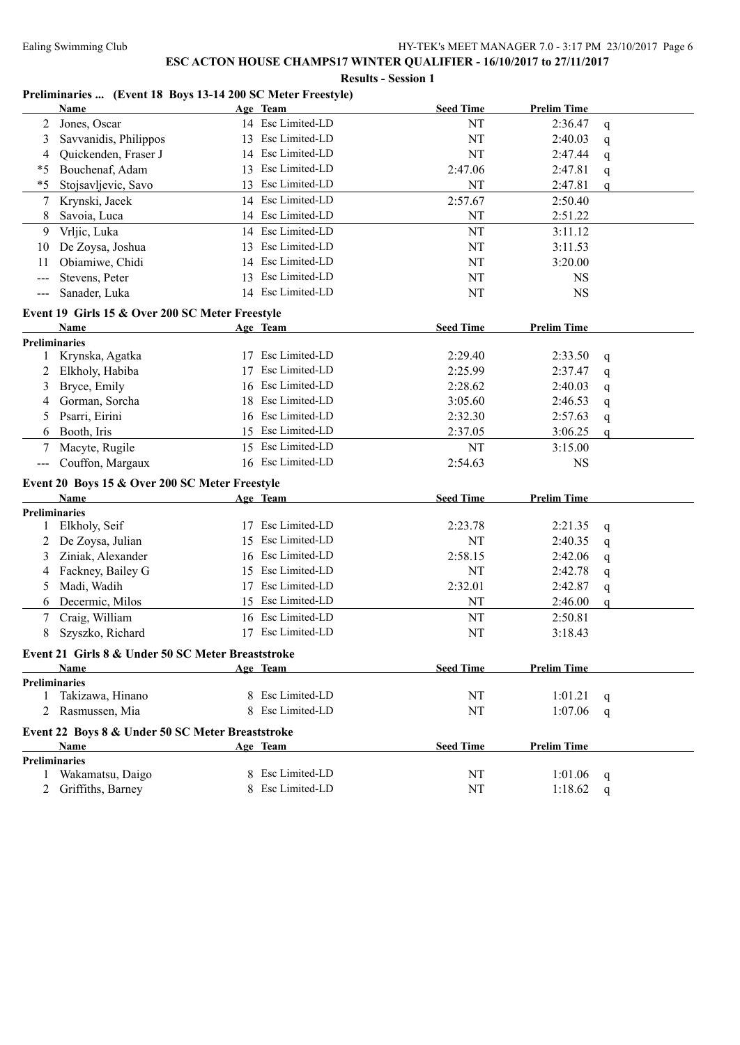#### **Results - Session 1**

#### **Preliminaries ... (Event 18 Boys 13-14 200 SC Meter Freestyle)**

|                            | Name                                              |              | Age Team          | <b>Seed Time</b> | <b>Prelim Time</b> |              |
|----------------------------|---------------------------------------------------|--------------|-------------------|------------------|--------------------|--------------|
| 2                          | Jones, Oscar                                      |              | 14 Esc Limited-LD | NT               | 2:36.47            | q            |
| 3                          | Savvanidis, Philippos                             | 13           | Esc Limited-LD    | NT               | 2:40.03            | q            |
| 4                          | Quickenden, Fraser J                              |              | 14 Esc Limited-LD | NT               | 2:47.44            | q            |
| $*_{5}$                    | Bouchenaf, Adam                                   | 13           | Esc Limited-LD    | 2:47.06          | 2:47.81            | q            |
| $*5$                       | Stojsavljevic, Savo                               | 13           | Esc Limited-LD    | NT               | 2:47.81            | q            |
| 7                          | Krynski, Jacek                                    | 14           | Esc Limited-LD    | 2:57.67          | 2:50.40            |              |
| 8                          | Savoia, Luca                                      | 14           | Esc Limited-LD    | NT               | 2:51.22            |              |
| 9                          | Vrljic, Luka                                      |              | 14 Esc Limited-LD | NT               | 3:11.12            |              |
| 10                         | De Zoysa, Joshua                                  |              | 13 Esc Limited-LD | NT               | 3:11.53            |              |
| 11                         | Obiamiwe, Chidi                                   |              | 14 Esc Limited-LD | NT               | 3:20.00            |              |
| ---                        | Stevens, Peter                                    |              | 13 Esc Limited-LD | NT               | <b>NS</b>          |              |
| $---$                      | Sanader, Luka                                     |              | 14 Esc Limited-LD | NT               | <b>NS</b>          |              |
|                            | Event 19 Girls 15 & Over 200 SC Meter Freestyle   |              |                   |                  |                    |              |
|                            | Name                                              |              | Age Team          | <b>Seed Time</b> | <b>Prelim Time</b> |              |
| <b>Preliminaries</b>       |                                                   |              |                   |                  |                    |              |
|                            | Krynska, Agatka                                   | 17           | Esc Limited-LD    | 2:29.40          | 2:33.50            | q            |
| 2                          | Elkholy, Habiba                                   | 17           | Esc Limited-LD    | 2:25.99          | 2:37.47            | q            |
| 3                          | Bryce, Emily                                      | 16           | Esc Limited-LD    | 2:28.62          | 2:40.03            | q            |
| 4                          | Gorman, Sorcha                                    | 18           | Esc Limited-LD    | 3:05.60          | 2:46.53            | q            |
| 5                          | Psarri, Eirini                                    | 16           | Esc Limited-LD    | 2:32.30          | 2:57.63            | $\mathsf{q}$ |
| 6                          | Booth, Iris                                       | 15           | Esc Limited-LD    | 2:37.05          | 3:06.25            | q            |
| 7                          | Macyte, Rugile                                    | 15           | Esc Limited-LD    | NT               | 3:15.00            |              |
| $\qquad \qquad - \qquad -$ | Couffon, Margaux                                  |              | 16 Esc Limited-LD | 2:54.63          | <b>NS</b>          |              |
|                            | Event 20 Boys 15 & Over 200 SC Meter Freestyle    |              |                   |                  |                    |              |
|                            | Name                                              |              | Age Team          | <b>Seed Time</b> | <b>Prelim Time</b> |              |
|                            | <b>Preliminaries</b>                              |              |                   |                  |                    |              |
| 1                          | Elkholy, Seif                                     | 17           | Esc Limited-LD    | 2:23.78          | 2:21.35            | q            |
| 2                          | De Zoysa, Julian                                  | 15           | Esc Limited-LD    | NT               | 2:40.35            | q            |
| 3                          | Ziniak, Alexander                                 | 16           | Esc Limited-LD    | 2:58.15          | 2:42.06            | q            |
| 4                          | Fackney, Bailey G                                 | 15           | Esc Limited-LD    | NT               | 2:42.78            | q            |
| 5                          | Madi, Wadih                                       | 17           | Esc Limited-LD    | 2:32.01          | 2:42.87            | q            |
| 6                          | Decermic, Milos                                   |              | 15 Esc Limited-LD | NT               | 2:46.00            | q            |
| 7                          | Craig, William                                    |              | 16 Esc Limited-LD | NT               | 2:50.81            |              |
| 8                          | Szyszko, Richard                                  |              | 17 Esc Limited-LD | NT               | 3:18.43            |              |
|                            | Event 21 Girls 8 & Under 50 SC Meter Breaststroke |              |                   |                  |                    |              |
|                            | <b>Name</b>                                       |              | Age Team          | <b>Seed Time</b> | <b>Prelim Time</b> |              |
|                            | Preliminaries                                     |              |                   |                  |                    |              |
| 1                          | Takizawa, Hinano                                  |              | 8 Esc Limited-LD  | NT               | 1:01.21            | q            |
|                            | 2 Rasmussen, Mia                                  | 8            | Esc Limited-LD    | NT               | 1:07.06            | $\mathsf{q}$ |
|                            | Event 22 Boys 8 & Under 50 SC Meter Breaststroke  |              |                   |                  |                    |              |
|                            | Name                                              |              | Age Team          | <b>Seed Time</b> | <b>Prelim Time</b> |              |
|                            | <b>Preliminaries</b>                              |              |                   |                  |                    |              |
| 1                          | Wakamatsu, Daigo                                  | $\mathbf{R}$ | Esc Limited-LD    | NT               | 1:01.06            | q            |
| $\overline{2}$             | Griffiths, Barney                                 |              | 8 Esc Limited-LD  | NT               | 1:18.62            | $\mathbf q$  |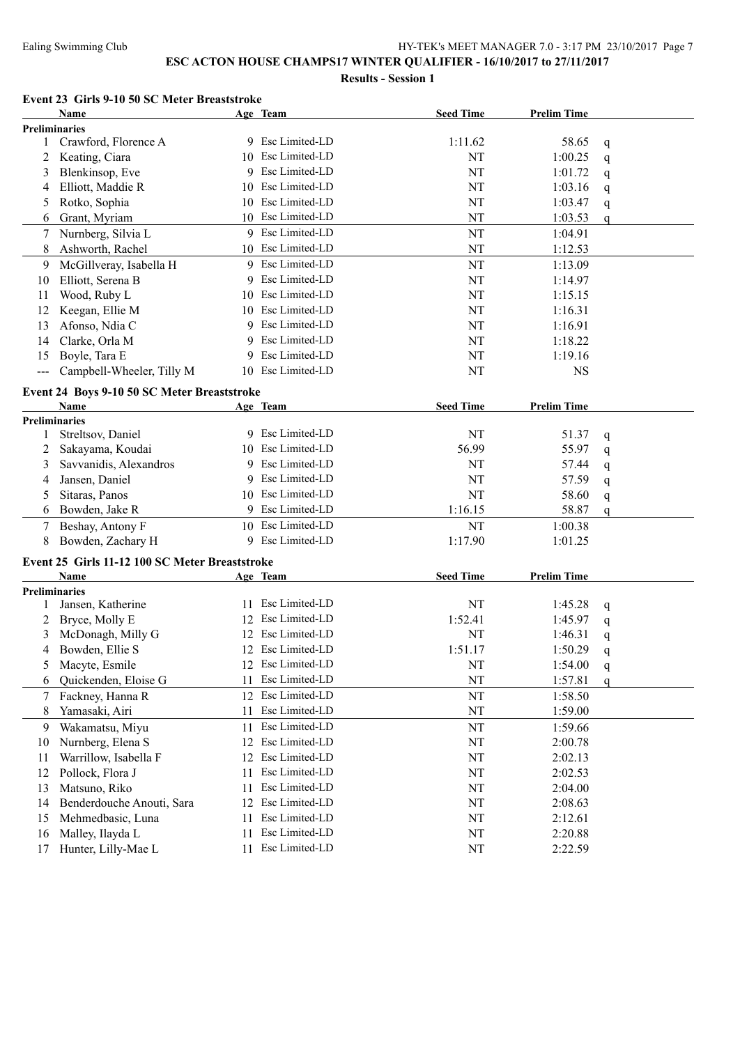**Results - Session 1**

#### **Event 23 Girls 9-10 50 SC Meter Breaststroke**

|       | <b>Name</b>                                            |    | Age Team          | <b>Seed Time</b> | <b>Prelim Time</b> |              |
|-------|--------------------------------------------------------|----|-------------------|------------------|--------------------|--------------|
|       | Preliminaries                                          |    |                   |                  |                    |              |
| 1     | Crawford, Florence A                                   |    | 9 Esc Limited-LD  | 1:11.62          | 58.65              | q            |
| 2     | Keating, Ciara                                         | 10 | Esc Limited-LD    | NT               | 1:00.25            | $\mathsf{q}$ |
| 3     | Blenkinsop, Eve                                        | 9  | Esc Limited-LD    | NT               | 1:01.72            | q            |
| 4     | Elliott, Maddie R                                      | 10 | Esc Limited-LD    | NT               | 1:03.16            | q            |
| 5     | Rotko, Sophia                                          | 10 | Esc Limited-LD    | NT               | 1:03.47            | q            |
| 6     | Grant, Myriam                                          | 10 | Esc Limited-LD    | NT               | 1:03.53            | $\mathsf{q}$ |
| 7     | Nurnberg, Silvia L                                     |    | 9 Esc Limited-LD  | NT               | 1:04.91            |              |
| 8     | Ashworth, Rachel                                       |    | 10 Esc Limited-LD | NT               | 1:12.53            |              |
| 9     | McGillveray, Isabella H                                |    | 9 Esc Limited-LD  | NT               | 1:13.09            |              |
| 10    | Elliott, Serena B                                      | 9  | Esc Limited-LD    | NT               | 1:14.97            |              |
| 11    | Wood, Ruby L                                           | 10 | Esc Limited-LD    | NT               | 1:15.15            |              |
| 12    | Keegan, Ellie M                                        | 10 | Esc Limited-LD    | NT               | 1:16.31            |              |
| 13    | Afonso, Ndia C                                         | 9  | Esc Limited-LD    | NT               | 1:16.91            |              |
| 14    | Clarke, Orla M                                         | 9  | Esc Limited-LD    | NT               | 1:18.22            |              |
| 15    | Boyle, Tara E                                          | 9  | Esc Limited-LD    | NT               | 1:19.16            |              |
| $---$ | Campbell-Wheeler, Tilly M                              |    | 10 Esc Limited-LD | NT               | <b>NS</b>          |              |
|       | Event 24 Boys 9-10 50 SC Meter Breaststroke            |    |                   |                  |                    |              |
|       | Name                                                   |    | Age Team          | <b>Seed Time</b> | <b>Prelim Time</b> |              |
|       | Preliminaries                                          |    |                   |                  |                    |              |
| 1     | Streltsov, Daniel                                      |    | 9 Esc Limited-LD  | NT               | 51.37              | q            |
| 2     | Sakayama, Koudai                                       |    | 10 Esc Limited-LD | 56.99            | 55.97              | q            |
| 3     | Savvanidis, Alexandros                                 |    | 9 Esc Limited-LD  | NT               | 57.44              | q            |
| 4     | Jansen, Daniel                                         |    | 9 Esc Limited-LD  | NT               | 57.59              | q            |
| 5     | Sitaras, Panos                                         |    | 10 Esc Limited-LD | NT               | 58.60              | q            |
| 6     | Bowden, Jake R                                         |    | 9 Esc Limited-LD  | 1:16.15          | 58.87              | q            |
| 7     | Beshay, Antony F                                       |    | 10 Esc Limited-LD | NT               | 1:00.38            |              |
| 8     | Bowden, Zachary H                                      |    | 9 Esc Limited-LD  | 1:17.90          | 1:01.25            |              |
|       |                                                        |    |                   |                  |                    |              |
|       | Event 25 Girls 11-12 100 SC Meter Breaststroke<br>Name |    |                   | <b>Seed Time</b> |                    |              |
|       | <b>Preliminaries</b>                                   |    | Age Team          |                  | <b>Prelim Time</b> |              |
| 1     | Jansen, Katherine                                      |    | 11 Esc Limited-LD | NT               | 1:45.28            | q            |
| 2     | Bryce, Molly E                                         |    | 12 Esc Limited-LD | 1:52.41          | 1:45.97            | q            |
| 3     | McDonagh, Milly G                                      |    | 12 Esc Limited-LD | NT               | 1:46.31            | q            |
| 4     | Bowden, Ellie S                                        |    | 12 Esc Limited-LD | 1:51.17          | 1:50.29            | $\mathsf{q}$ |
|       | 5 Macyte, Esmile                                       |    | 12 Esc Limited-LD | $\rm{NT}$        | 1:54.00            | $\mathbf{q}$ |
| 6     | Quickenden, Eloise G                                   | 11 | Esc Limited-LD    | NT               | 1:57.81            | q            |
| 7     | Fackney, Hanna R                                       | 12 | Esc Limited-LD    | NT               | 1:58.50            |              |
| 8     | Yamasaki, Airi                                         | 11 | Esc Limited-LD    | NT               | 1:59.00            |              |
| 9     | Wakamatsu, Miyu                                        | 11 | Esc Limited-LD    | NT               | 1:59.66            |              |
| 10    | Nurnberg, Elena S                                      | 12 | Esc Limited-LD    | NT               | 2:00.78            |              |
| 11    | Warrillow, Isabella F                                  | 12 | Esc Limited-LD    | NT               | 2:02.13            |              |
| 12    | Pollock, Flora J                                       | 11 | Esc Limited-LD    | NT               | 2:02.53            |              |
| 13    | Matsuno, Riko                                          | 11 | Esc Limited-LD    | NT               | 2:04.00            |              |
| 14    | Benderdouche Anouti, Sara                              | 12 | Esc Limited-LD    | NT               | 2:08.63            |              |
| 15    | Mehmedbasic, Luna                                      | 11 | Esc Limited-LD    | NT               | 2:12.61            |              |
| 16    | Malley, Ilayda L                                       | 11 | Esc Limited-LD    | NT               | 2:20.88            |              |
| 17    | Hunter, Lilly-Mae L                                    | 11 | Esc Limited-LD    | NT               | 2:22.59            |              |
|       |                                                        |    |                   |                  |                    |              |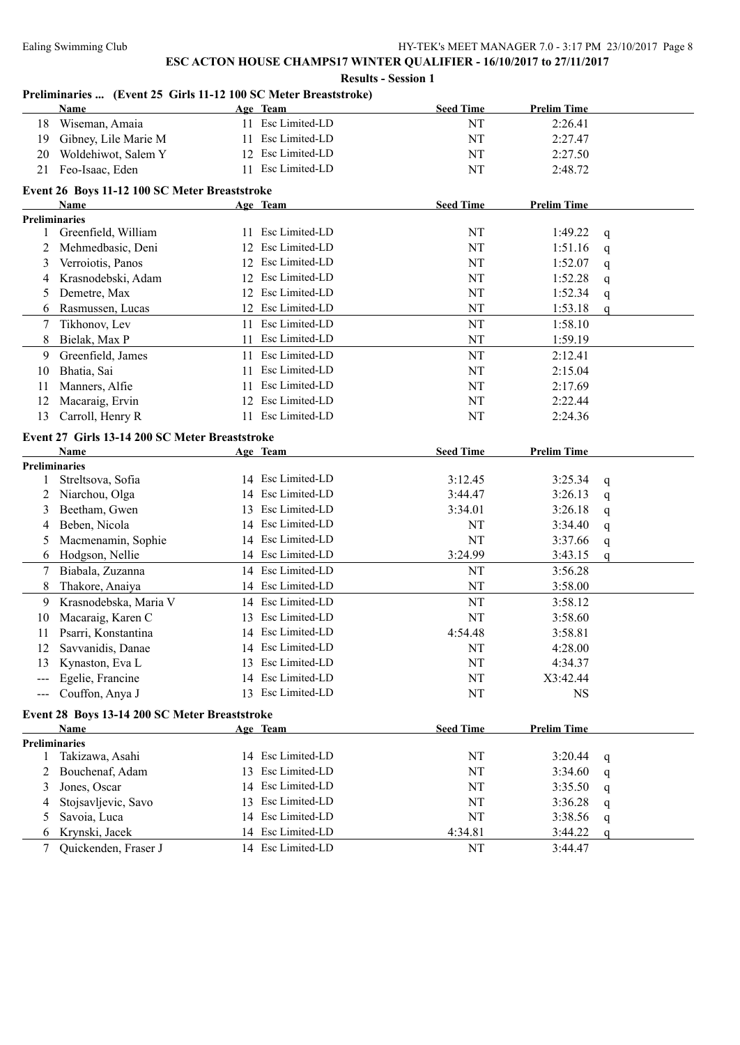#### **Preliminaries ... (Event 25 Girls 11-12 100 SC Meter Breaststroke)**

|        | <b>Name</b>                                    |    | Age Team          | <b>Seed Time</b> | <b>Prelim Time</b> |              |
|--------|------------------------------------------------|----|-------------------|------------------|--------------------|--------------|
| 18     | Wiseman, Amaia                                 |    | 11 Esc Limited-LD | NT               | 2:26.41            |              |
| 19     | Gibney, Lile Marie M                           | 11 | Esc Limited-LD    | NT               | 2:27.47            |              |
| 20     | Woldehiwot, Salem Y                            | 12 | Esc Limited-LD    | NT               | 2:27.50            |              |
| 21     | Feo-Isaac, Eden                                | 11 | Esc Limited-LD    | NT               | 2:48.72            |              |
|        | Event 26 Boys 11-12 100 SC Meter Breaststroke  |    |                   |                  |                    |              |
|        | Name                                           |    | Age Team          | <b>Seed Time</b> | <b>Prelim Time</b> |              |
|        | <b>Preliminaries</b>                           |    |                   |                  |                    |              |
| 1      | Greenfield, William                            |    | 11 Esc Limited-LD | NT               | 1:49.22            | q            |
|        | Mehmedbasic, Deni                              | 12 | Esc Limited-LD    | NT               | 1:51.16            | q            |
| 3      | Verroiotis, Panos                              | 12 | Esc Limited-LD    | NT               | 1:52.07            | q            |
| 4      | Krasnodebski, Adam                             | 12 | Esc Limited-LD    | NT               | 1:52.28            | q            |
| 5      | Demetre, Max                                   | 12 | Esc Limited-LD    | NT               | 1:52.34            | q            |
| 6      | Rasmussen, Lucas                               |    | 12 Esc Limited-LD | NT               | 1:53.18            | $\mathsf{q}$ |
| 7      | Tikhonov, Lev                                  | 11 | Esc Limited-LD    | NT               | 1:58.10            |              |
| 8      | Bielak, Max P                                  | 11 | Esc Limited-LD    | NT               | 1:59.19            |              |
| 9      | Greenfield, James                              | 11 | Esc Limited-LD    | NT               | 2:12.41            |              |
| 10     | Bhatia, Sai                                    | 11 | Esc Limited-LD    | NT               | 2:15.04            |              |
| 11     | Manners, Alfie                                 | 11 | Esc Limited-LD    | NT               | 2:17.69            |              |
| 12     | Macaraig, Ervin                                | 12 | Esc Limited-LD    | NT               | 2:22.44            |              |
| 13     | Carroll, Henry R                               |    | 11 Esc Limited-LD | NT               | 2:24.36            |              |
|        | Event 27 Girls 13-14 200 SC Meter Breaststroke |    |                   |                  |                    |              |
|        | Name                                           |    | Age Team          | <b>Seed Time</b> | <b>Prelim Time</b> |              |
|        | <b>Preliminaries</b>                           |    |                   |                  |                    |              |
| 1      | Streltsova, Sofia                              |    | 14 Esc Limited-LD | 3:12.45          | 3:25.34            | q            |
| 2      | Niarchou, Olga                                 |    | 14 Esc Limited-LD | 3:44.47          | 3:26.13            | q            |
| 3      | Beetham, Gwen                                  | 13 | Esc Limited-LD    | 3:34.01          | 3:26.18            | q            |
| 4      | Beben, Nicola                                  |    | 14 Esc Limited-LD | NT               | 3:34.40            | $\mathsf{q}$ |
| 5      | Macmenamin, Sophie                             |    | 14 Esc Limited-LD | NT               | 3:37.66            | q            |
| 6      | Hodgson, Nellie                                |    | 14 Esc Limited-LD | 3:24.99          | 3:43.15            | $\mathbf q$  |
| 7      | Biabala, Zuzanna                               |    | 14 Esc Limited-LD | NT               | 3:56.28            |              |
| 8      | Thakore, Anaiya                                |    | 14 Esc Limited-LD | NT               | 3:58.00            |              |
| 9      | Krasnodebska, Maria V                          |    | 14 Esc Limited-LD | NT               | 3:58.12            |              |
| 10     | Macaraig, Karen C                              | 13 | Esc Limited-LD    | NT               | 3:58.60            |              |
| 11     | Psarri, Konstantina                            |    | 14 Esc Limited-LD | 4:54.48          | 3:58.81            |              |
| 12     | Savvanidis, Danae                              |    | 14 Esc Limited-LD | NT               | 4:28.00            |              |
|        | 13 Kynaston, Eva L                             |    | 13 Esc Limited-LD | $\rm{NT}$        | 4:34.37            |              |
|        | Egelie, Francine                               |    | 14 Esc Limited-LD | NT               | X3:42.44           |              |
| ---    | Couffon, Anya J                                |    | 13 Esc Limited-LD | NT               | $_{\rm NS}$        |              |
|        | Event 28 Boys 13-14 200 SC Meter Breaststroke  |    |                   |                  |                    |              |
|        | Name                                           |    | Age Team          | <b>Seed Time</b> | <b>Prelim Time</b> |              |
|        | <b>Preliminaries</b>                           |    |                   |                  |                    |              |
| 1      | Takizawa, Asahi                                |    | 14 Esc Limited-LD | NT               | 3:20.44            | q            |
| 2      | Bouchenaf, Adam                                | 13 | Esc Limited-LD    | NT               | 3:34.60            | q            |
| 3      | Jones, Oscar                                   |    | 14 Esc Limited-LD | NT               | 3:35.50            | q            |
| 4      | Stojsavljevic, Savo                            | 13 | Esc Limited-LD    | NT               | 3:36.28            | q            |
| 5      | Savoia, Luca                                   | 14 | Esc Limited-LD    | NT               | 3:38.56            | q            |
| 6      | Krynski, Jacek                                 |    | 14 Esc Limited-LD | 4:34.81          | 3:44.22            | $\mathsf{q}$ |
| $\tau$ | Quickenden, Fraser J                           |    | 14 Esc Limited-LD | NT               | 3:44.47            |              |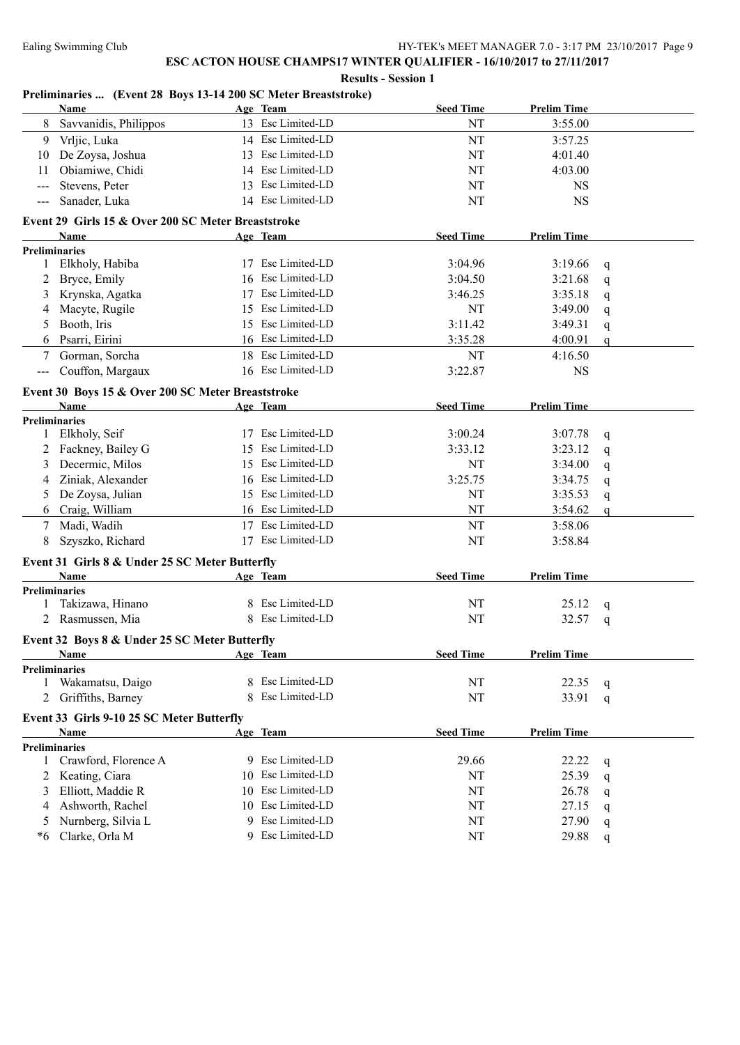|  | <b>Results - Session 1</b> |  |
|--|----------------------------|--|
|  |                            |  |

#### **Preliminaries ... (Event 28 Boys 13-14 200 SC Meter Breaststroke)**

|                                           | Name                                               |    | Age Team          | <b>Seed Time</b> | <b>Prelim Time</b> |              |
|-------------------------------------------|----------------------------------------------------|----|-------------------|------------------|--------------------|--------------|
| 8                                         | Savvanidis, Philippos                              |    | 13 Esc Limited-LD | NT               | 3:55.00            |              |
| 9                                         | Vrljic, Luka                                       |    | 14 Esc Limited-LD | NT               | 3:57.25            |              |
| 10                                        | De Zoysa, Joshua                                   |    | 13 Esc Limited-LD | NT               | 4:01.40            |              |
| 11                                        | Obiamiwe, Chidi                                    | 14 | Esc Limited-LD    | NT               | 4:03.00            |              |
|                                           | Stevens, Peter                                     | 13 | Esc Limited-LD    | NT               | <b>NS</b>          |              |
| $---$                                     | Sanader, Luka                                      |    | 14 Esc Limited-LD | NT               | <b>NS</b>          |              |
|                                           |                                                    |    |                   |                  |                    |              |
|                                           | Event 29 Girls 15 & Over 200 SC Meter Breaststroke |    |                   |                  |                    |              |
|                                           | <b>Name</b><br><b>Preliminaries</b>                |    | Age Team          | <b>Seed Time</b> | <b>Prelim Time</b> |              |
| 1                                         | Elkholy, Habiba                                    |    | 17 Esc Limited-LD | 3:04.96          | 3:19.66            | q            |
| 2                                         | Bryce, Emily                                       | 16 | Esc Limited-LD    | 3:04.50          | 3:21.68            | q            |
| 3                                         | Krynska, Agatka                                    | 17 | Esc Limited-LD    | 3:46.25          | 3:35.18            | q            |
| 4                                         | Macyte, Rugile                                     | 15 | Esc Limited-LD    | NT               | 3:49.00            |              |
| 5                                         | Booth, Iris                                        | 15 | Esc Limited-LD    | 3:11.42          | 3:49.31            | q            |
| 6                                         | Psarri, Eirini                                     |    | 16 Esc Limited-LD | 3:35.28          | 4:00.91            | q            |
|                                           |                                                    |    | 18 Esc Limited-LD |                  |                    | $\mathbf q$  |
| 7                                         | Gorman, Sorcha                                     |    |                   | NT               | 4:16.50            |              |
| $\qquad \qquad \textbf{---} \textbf{---}$ | Couffon, Margaux                                   |    | 16 Esc Limited-LD | 3:22.87          | <b>NS</b>          |              |
|                                           | Event 30 Boys 15 & Over 200 SC Meter Breaststroke  |    |                   |                  |                    |              |
|                                           | Name                                               |    | Age Team          | <b>Seed Time</b> | <b>Prelim Time</b> |              |
|                                           | Preliminaries                                      |    |                   |                  |                    |              |
| 1                                         | Elkholy, Seif                                      |    | 17 Esc Limited-LD | 3:00.24          | 3:07.78            | q            |
|                                           | Fackney, Bailey G                                  | 15 | Esc Limited-LD    | 3:33.12          | 3:23.12            | q            |
| 3                                         | Decermic, Milos                                    |    | 15 Esc Limited-LD | NT               | 3:34.00            | q            |
| 4                                         | Ziniak, Alexander                                  | 16 | Esc Limited-LD    | 3:25.75          | 3:34.75            | q            |
| 5                                         | De Zoysa, Julian                                   |    | 15 Esc Limited-LD | NT               | 3:35.53            | q            |
| 6                                         | Craig, William                                     |    | 16 Esc Limited-LD | NT               | 3:54.62            | $\mathsf{q}$ |
| 7                                         | Madi, Wadih                                        | 17 | Esc Limited-LD    | NT               | 3:58.06            |              |
| 8                                         | Szyszko, Richard                                   |    | 17 Esc Limited-LD | NT               | 3:58.84            |              |
|                                           | Event 31 Girls 8 & Under 25 SC Meter Butterfly     |    |                   |                  |                    |              |
|                                           | Name                                               |    | Age Team          | <b>Seed Time</b> | <b>Prelim Time</b> |              |
|                                           | <b>Preliminaries</b>                               |    |                   |                  |                    |              |
|                                           | Takizawa, Hinano                                   |    | 8 Esc Limited-LD  | NT               | 25.12              | q            |
|                                           | Rasmussen, Mia                                     |    | 8 Esc Limited-LD  | NT               | 32.57              | q            |
|                                           |                                                    |    |                   |                  |                    |              |
|                                           | Event 32 Boys 8 & Under 25 SC Meter Butterfly      |    |                   |                  |                    |              |
|                                           | <b>Name</b><br><b>Preliminaries</b>                |    | Age Team          | <b>Seed Time</b> | <b>Prelim Time</b> |              |
| 1                                         | Wakamatsu, Daigo                                   |    | 8 Esc Limited-LD  | NT               | 22.35              | q            |
| 2                                         | Griffiths, Barney                                  | 8  | Esc Limited-LD    | NT               | 33.91              | $\mathsf{q}$ |
|                                           |                                                    |    |                   |                  |                    |              |
|                                           | Event 33 Girls 9-10 25 SC Meter Butterfly          |    |                   |                  |                    |              |
|                                           | Name                                               |    | Age Team          | <b>Seed Time</b> | <b>Prelim Time</b> |              |
|                                           | <b>Preliminaries</b>                               |    |                   |                  |                    |              |
| 1                                         | Crawford, Florence A                               |    | 9 Esc Limited-LD  | 29.66            | 22.22              | q            |
|                                           | Keating, Ciara                                     | 10 | Esc Limited-LD    | NT               | 25.39              | q            |
| 3                                         | Elliott, Maddie R                                  | 10 | Esc Limited-LD    | NT               | 26.78              | q            |
| 4                                         | Ashworth, Rachel                                   | 10 | Esc Limited-LD    | NT               | 27.15              | q            |
| 5                                         | Nurnberg, Silvia L                                 | 9  | Esc Limited-LD    | NT               | 27.90              | q            |
| *6                                        | Clarke, Orla M                                     | 9  | Esc Limited-LD    | NT               | 29.88              | $\mathbf q$  |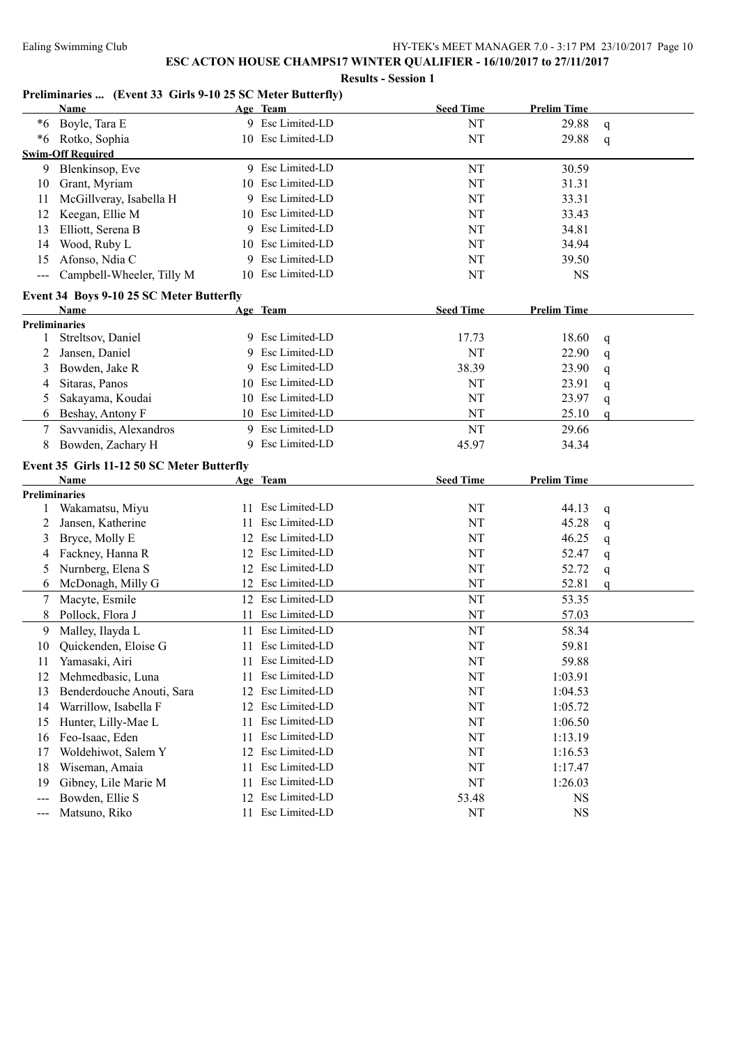#### **Preliminaries ... (Event 33 Girls 9-10 25 SC Meter Butterfly)**

|       | <b>Name</b>                                        |    | Age Team          | <b>Seed Time</b> | <b>Prelim Time</b> |              |
|-------|----------------------------------------------------|----|-------------------|------------------|--------------------|--------------|
|       | *6 Boyle, Tara E                                   |    | 9 Esc Limited-LD  | NT               | 29.88              | q            |
|       | *6 Rotko, Sophia                                   |    | 10 Esc Limited-LD | NT               | 29.88              | $\mathbf q$  |
|       | <b>Swim-Off Required</b>                           |    |                   |                  |                    |              |
|       | 9 Blenkinsop, Eve                                  |    | 9 Esc Limited-LD  | NT               | 30.59              |              |
| 10    | Grant, Myriam                                      |    | 10 Esc Limited-LD | NT               | 31.31              |              |
| 11    | McGillveray, Isabella H                            | 9. | Esc Limited-LD    | NT               | 33.31              |              |
| 12    | Keegan, Ellie M                                    |    | 10 Esc Limited-LD | NT               | 33.43              |              |
| 13    | Elliott, Serena B                                  |    | 9 Esc Limited-LD  | NT               | 34.81              |              |
| 14    | Wood, Ruby L                                       |    | 10 Esc Limited-LD | NT               | 34.94              |              |
| 15    | Afonso, Ndia C                                     | 9. | Esc Limited-LD    | NT               | 39.50              |              |
| $---$ | Campbell-Wheeler, Tilly M                          |    | 10 Esc Limited-LD | NT               | <b>NS</b>          |              |
|       | Event 34 Boys 9-10 25 SC Meter Butterfly           |    |                   |                  |                    |              |
|       | Name                                               |    | Age Team          | <b>Seed Time</b> | <b>Prelim Time</b> |              |
|       | <b>Preliminaries</b>                               |    |                   |                  |                    |              |
| 1     | Streltsov, Daniel                                  |    | 9 Esc Limited-LD  | 17.73            | 18.60              | q            |
| 2     | Jansen, Daniel                                     | 9  | Esc Limited-LD    | NT               | 22.90              | $\mathsf{q}$ |
| 3     | Bowden, Jake R                                     | 9  | Esc Limited-LD    | 38.39            | 23.90              | q            |
| 4     | Sitaras, Panos                                     |    | 10 Esc Limited-LD | NT               | 23.91              | q            |
| 5     | Sakayama, Koudai                                   |    | 10 Esc Limited-LD | NT               | 23.97              | q            |
| 6     | Beshay, Antony F                                   |    | 10 Esc Limited-LD | NT               | 25.10              | $\mathsf{q}$ |
| 7     | Savvanidis, Alexandros                             |    | 9 Esc Limited-LD  | NT               | 29.66              |              |
| 8     | Bowden, Zachary H                                  | 9  | Esc Limited-LD    | 45.97            | 34.34              |              |
|       |                                                    |    |                   |                  |                    |              |
|       |                                                    |    |                   |                  |                    |              |
|       | Event 35 Girls 11-12 50 SC Meter Butterfly<br>Name |    |                   | <b>Seed Time</b> |                    |              |
|       | <b>Preliminaries</b>                               |    | Age Team          |                  | <b>Prelim Time</b> |              |
| 1     | Wakamatsu, Miyu                                    |    | 11 Esc Limited-LD | NT               | 44.13              | q            |
| 2     | Jansen, Katherine                                  | 11 | Esc Limited-LD    | NT               | 45.28              | q            |
| 3     | Bryce, Molly E                                     |    | 12 Esc Limited-LD | NT               | 46.25              | q            |
| 4     | Fackney, Hanna R                                   |    | 12 Esc Limited-LD | NT               | 52.47              | q            |
| 5     | Nurnberg, Elena S                                  |    | 12 Esc Limited-LD | NT               | 52.72              | q            |
| 6     | McDonagh, Milly G                                  |    | 12 Esc Limited-LD | NT               | 52.81              | $\mathsf{q}$ |
| 7     | Macyte, Esmile                                     |    | 12 Esc Limited-LD | NT               | 53.35              |              |
| 8     | Pollock, Flora J                                   |    | 11 Esc Limited-LD | NT               | 57.03              |              |
| 9     | Malley, Ilayda L                                   | 11 | Esc Limited-LD    | NT               | 58.34              |              |
| 10    | Quickenden, Eloise G                               |    | 11 Esc Limited-LD | NT               | 59.81              |              |
|       | 11 Yamasaki, Airi                                  |    | 11 Esc Limited-LD | NT               | 59.88              |              |
| 12    | Mehmedbasic, Luna                                  | 11 | Esc Limited-LD    | NT               | 1:03.91            |              |
| 13    | Benderdouche Anouti, Sara                          | 12 | Esc Limited-LD    | NT               | 1:04.53            |              |
| 14    | Warrillow, Isabella F                              | 12 | Esc Limited-LD    | NT               | 1:05.72            |              |
| 15    | Hunter, Lilly-Mae L                                | 11 | Esc Limited-LD    | NT               | 1:06.50            |              |
| 16    | Feo-Isaac, Eden                                    | 11 | Esc Limited-LD    | NT               | 1:13.19            |              |
| 17    | Woldehiwot, Salem Y                                | 12 | Esc Limited-LD    | NT               | 1:16.53            |              |
| 18    | Wiseman, Amaia                                     | 11 | Esc Limited-LD    | NT               | 1:17.47            |              |
| 19    | Gibney, Lile Marie M                               | 11 | Esc Limited-LD    | NT               | 1:26.03            |              |
| $---$ | Bowden, Ellie S                                    | 12 | Esc Limited-LD    | 53.48            | <b>NS</b>          |              |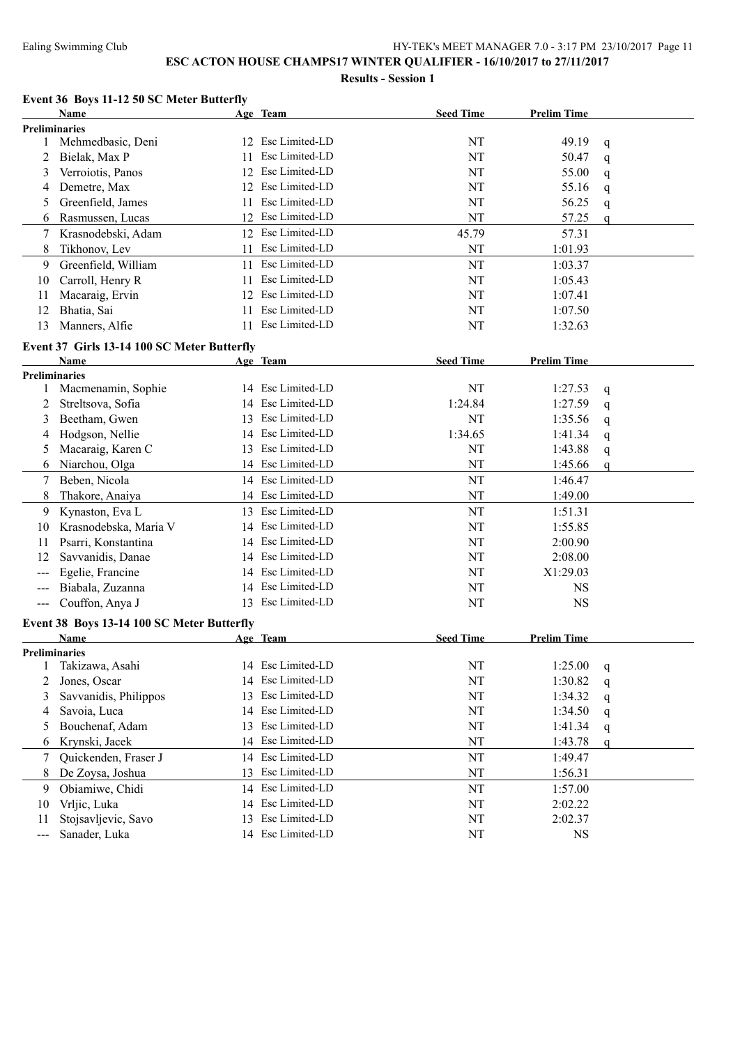#### **Event 36 Boys 11-12 50 SC Meter Butterfly**

|                      | <b>Name</b>                                        |          | Age Team          | <b>Seed Time</b> | <b>Prelim Time</b> |              |  |
|----------------------|----------------------------------------------------|----------|-------------------|------------------|--------------------|--------------|--|
| Preliminaries        |                                                    |          |                   |                  |                    |              |  |
| 1                    | Mehmedbasic, Deni                                  |          | 12 Esc Limited-LD | NT               | 49.19              | q            |  |
| 2                    | Bielak, Max P                                      | 11       | Esc Limited-LD    | NT               | 50.47              | q            |  |
| 3                    | Verroiotis, Panos                                  | 12       | Esc Limited-LD    | NT               | 55.00              | q            |  |
| 4                    | Demetre, Max                                       | 12       | Esc Limited-LD    | NT               | 55.16              | q            |  |
| 5                    | Greenfield, James                                  | 11       | Esc Limited-LD    | NT               | 56.25              | q            |  |
| 6                    | Rasmussen, Lucas                                   |          | 12 Esc Limited-LD | NT               | 57.25              | $\mathbf q$  |  |
| 7                    | Krasnodebski, Adam                                 |          | 12 Esc Limited-LD | 45.79            | 57.31              |              |  |
| 8                    | Tikhonov, Lev                                      | 11       | Esc Limited-LD    | NT               | 1:01.93            |              |  |
| 9                    | Greenfield, William                                | 11       | Esc Limited-LD    | NT               | 1:03.37            |              |  |
| 10                   | Carroll, Henry R                                   | 11       | Esc Limited-LD    | NT               | 1:05.43            |              |  |
| 11                   | Macaraig, Ervin                                    | 12       | Esc Limited-LD    | NT               | 1:07.41            |              |  |
| 12                   | Bhatia, Sai                                        | 11       | Esc Limited-LD    | NT               | 1:07.50            |              |  |
| 13                   | Manners, Alfie                                     | 11       | Esc Limited-LD    | NT               | 1:32.63            |              |  |
|                      |                                                    |          |                   |                  |                    |              |  |
|                      | Event 37 Girls 13-14 100 SC Meter Butterfly        |          |                   |                  |                    |              |  |
|                      | Name                                               |          | Age Team          | <b>Seed Time</b> | <b>Prelim Time</b> |              |  |
| <b>Preliminaries</b> |                                                    |          |                   |                  |                    |              |  |
| 1                    | Macmenamin, Sophie                                 |          | 14 Esc Limited-LD | NT               | 1:27.53            | $\mathbf q$  |  |
| 2                    | Streltsova, Sofia                                  | 14       | Esc Limited-LD    | 1:24.84          | 1:27.59            | q            |  |
| 3                    | Beetham, Gwen                                      | 13       | Esc Limited-LD    | NT               | 1:35.56            | q            |  |
| 4                    | Hodgson, Nellie                                    | 14       | Esc Limited-LD    | 1:34.65          | 1:41.34            | q            |  |
| 5                    | Macaraig, Karen C                                  | 13       | Esc Limited-LD    | NT               | 1:43.88            | q            |  |
| 6                    | Niarchou, Olga                                     |          | 14 Esc Limited-LD | NT               | 1:45.66            | $\mathbf q$  |  |
| 7                    | Beben, Nicola                                      |          | 14 Esc Limited-LD | NT               | 1:46.47            |              |  |
| 8                    | Thakore, Anaiya                                    | 14       | Esc Limited-LD    | NT               | 1:49.00            |              |  |
| 9                    | Kynaston, Eva L                                    |          | 13 Esc Limited-LD | NT               | 1:51.31            |              |  |
| 10                   | Krasnodebska, Maria V                              | 14       | Esc Limited-LD    | NT               | 1:55.85            |              |  |
| 11                   | Psarri, Konstantina                                | 14       | Esc Limited-LD    | NT               | 2:00.90            |              |  |
| 12                   | Savvanidis, Danae                                  |          | 14 Esc Limited-LD | NT               | 2:08.00            |              |  |
|                      | Egelie, Francine                                   |          | 14 Esc Limited-LD | NT               | X1:29.03           |              |  |
|                      | Biabala, Zuzanna                                   |          | 14 Esc Limited-LD | NT               | <b>NS</b>          |              |  |
| ---                  | Couffon, Anya J                                    |          | 13 Esc Limited-LD | NT               | <b>NS</b>          |              |  |
|                      |                                                    |          |                   |                  |                    |              |  |
|                      | Event 38 Boys 13-14 100 SC Meter Butterfly<br>Name |          | Age Team          | <b>Seed Time</b> | <b>Prelim Time</b> |              |  |
| <b>Preliminaries</b> |                                                    |          |                   |                  |                    |              |  |
|                      | 1 Takizawa, Asahi                                  |          | 14 Esc Limited-LD | $\rm{NT}$        | 1:25.00            |              |  |
| 2                    | Jones, Oscar                                       | 14       | Esc Limited-LD    | NT               | 1:30.82            | q            |  |
| 3                    | Savvanidis, Philippos                              | 13       | Esc Limited-LD    | NT               | 1:34.32            | q            |  |
| 4                    | Savoia, Luca                                       | 14       | Esc Limited-LD    | NT               | 1:34.50            | q            |  |
|                      |                                                    |          | Esc Limited-LD    |                  |                    | q            |  |
| 5                    | Bouchenaf, Adam                                    | 13<br>14 | Esc Limited-LD    | NT               | 1:41.34            | q            |  |
| 6                    | Krynski, Jacek                                     |          |                   | NT               | 1:43.78            | $\mathsf{q}$ |  |
| 7                    | Quickenden, Fraser J                               | 14       | Esc Limited-LD    | NT               | 1:49.47            |              |  |
| 8                    | De Zoysa, Joshua                                   | 13       | Esc Limited-LD    | NT               | 1:56.31            |              |  |
| 9                    | Obiamiwe, Chidi                                    | 14       | Esc Limited-LD    | NT               | 1:57.00            |              |  |
| 10                   | Vrljic, Luka                                       | 14       | Esc Limited-LD    | NT               | 2:02.22            |              |  |
| 11                   | Stojsavljevic, Savo                                | 13       | Esc Limited-LD    | NT               | 2:02.37            |              |  |
| ---                  | Sanader, Luka                                      |          | 14 Esc Limited-LD | NT               | <b>NS</b>          |              |  |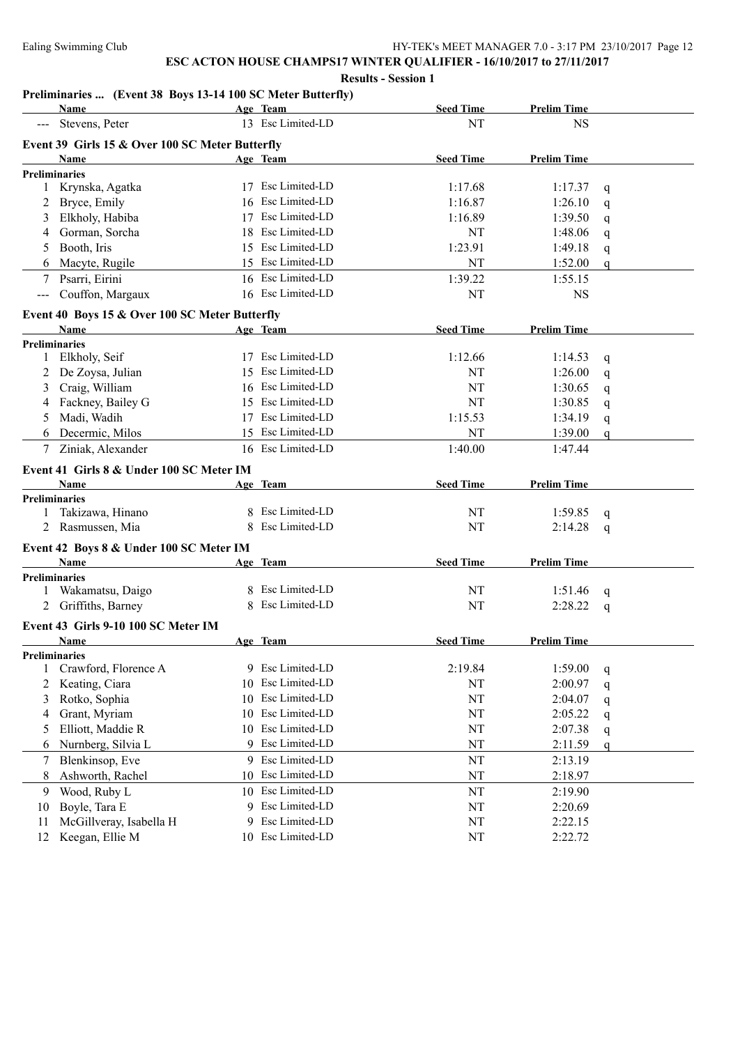#### **Preliminaries ... (Event 38 Boys 13-14 100 SC Meter Butterfly)**

|              | <b>Name</b>                                            |    | Age Team          | <b>Seed Time</b> | <b>Prelim Time</b> |              |
|--------------|--------------------------------------------------------|----|-------------------|------------------|--------------------|--------------|
|              | Stevens, Peter                                         |    | 13 Esc Limited-LD | NT               | <b>NS</b>          |              |
|              | Event 39 Girls 15 & Over 100 SC Meter Butterfly        |    |                   |                  |                    |              |
|              | Name                                                   |    | Age Team          | <b>Seed Time</b> | <b>Prelim Time</b> |              |
|              | <b>Preliminaries</b>                                   |    |                   |                  |                    |              |
| 1            | Krynska, Agatka                                        |    | 17 Esc Limited-LD | 1:17.68          | 1:17.37            | q            |
| 2            | Bryce, Emily                                           |    | 16 Esc Limited-LD | 1:16.87          | 1:26.10            | $\mathsf{q}$ |
| 3            | Elkholy, Habiba                                        |    | 17 Esc Limited-LD | 1:16.89          | 1:39.50            | $\mathsf{q}$ |
| 4            | Gorman, Sorcha                                         |    | 18 Esc Limited-LD | NT               | 1:48.06            | q            |
| 5            | Booth, Iris                                            |    | 15 Esc Limited-LD | 1:23.91          | 1:49.18            | q            |
| 6            | Macyte, Rugile                                         |    | 15 Esc Limited-LD | NT               | 1:52.00            | $\mathsf{q}$ |
| 7            | Psarri, Eirini                                         |    | 16 Esc Limited-LD | 1:39.22          | 1:55.15            |              |
|              | Couffon, Margaux                                       |    | 16 Esc Limited-LD | NT               | <b>NS</b>          |              |
|              |                                                        |    |                   |                  |                    |              |
|              | Event 40 Boys 15 & Over 100 SC Meter Butterfly<br>Name |    | Age Team          | <b>Seed Time</b> | <b>Prelim Time</b> |              |
|              | Preliminaries                                          |    |                   |                  |                    |              |
| $\mathbf{1}$ | Elkholy, Seif                                          |    | 17 Esc Limited-LD | 1:12.66          | 1:14.53            | $\mathsf{q}$ |
| 2            | De Zoysa, Julian                                       |    | 15 Esc Limited-LD | NT               | 1:26.00            | $\mathsf{q}$ |
| 3            | Craig, William                                         |    | 16 Esc Limited-LD | NT               | 1:30.65            | $\mathsf{q}$ |
| 4            | Fackney, Bailey G                                      |    | 15 Esc Limited-LD | NT               | 1:30.85            | q            |
| 5            | Madi, Wadih                                            |    | 17 Esc Limited-LD | 1:15.53          | 1:34.19            | q            |
| 6            | Decermic, Milos                                        |    | 15 Esc Limited-LD | NT               | 1:39.00            | $\mathsf{q}$ |
|              | 7 Ziniak, Alexander                                    |    | 16 Esc Limited-LD | 1:40.00          | 1:47.44            |              |
|              |                                                        |    |                   |                  |                    |              |
|              | Event 41 Girls 8 & Under 100 SC Meter IM               |    |                   |                  |                    |              |
|              |                                                        |    |                   |                  |                    |              |
|              | Name                                                   |    | Age Team          | <b>Seed Time</b> | <b>Prelim Time</b> |              |
|              | <b>Preliminaries</b>                                   |    |                   |                  |                    |              |
| 1            | Takizawa, Hinano                                       |    | 8 Esc Limited-LD  | NT               | 1:59.85            | q            |
|              | Rasmussen, Mia                                         | 8  | Esc Limited-LD    | NT               | 2:14.28            | q            |
|              | Event 42 Boys 8 & Under 100 SC Meter IM                |    |                   |                  |                    |              |
|              | Name                                                   |    | Age Team          | <b>Seed Time</b> | <b>Prelim Time</b> |              |
|              | <b>Preliminaries</b>                                   |    |                   |                  |                    |              |
| 1            | Wakamatsu, Daigo                                       | 8  | Esc Limited-LD    | NT               | 1:51.46            | q            |
| 2            | Griffiths, Barney                                      | 8  | Esc Limited-LD    | NT               | 2:28.22            | q            |
|              | Event 43 Girls 9-10 100 SC Meter IM                    |    |                   |                  |                    |              |
|              | <b>Name</b>                                            |    | Age Team          | <b>Seed Time</b> | <b>Prelim Time</b> |              |
|              | <b>Preliminaries</b>                                   |    |                   |                  |                    |              |
|              | Crawford, Florence A                                   |    | 9 Esc Limited-LD  | 2:19.84          | 1:59.00            | q            |
| 2            | Keating, Ciara                                         | 10 | Esc Limited-LD    | NT               | 2:00.97            | q            |
| 3            | Rotko, Sophia                                          | 10 | Esc Limited-LD    | NT               | 2:04.07            | q            |
| 4            | Grant, Myriam                                          | 10 | Esc Limited-LD    | NT               | 2:05.22            | q            |
| 5            | Elliott, Maddie R                                      | 10 | Esc Limited-LD    | NT               | 2:07.38            | q            |
| 6            | Nurnberg, Silvia L                                     | 9  | Esc Limited-LD    | NT               | 2:11.59            | q            |
| 7            | Blenkinsop, Eve                                        |    | 9 Esc Limited-LD  | NT               | 2:13.19            |              |
| 8            | Ashworth, Rachel                                       | 10 | Esc Limited-LD    | NT               | 2:18.97            |              |
| 9            | Wood, Ruby L                                           | 10 | Esc Limited-LD    | NT               | 2:19.90            |              |
| 10           | Boyle, Tara E                                          | 9. | Esc Limited-LD    | NT               | 2:20.69            |              |
| 11           | McGillveray, Isabella H                                | 9  | Esc Limited-LD    | NT               | 2:22.15            |              |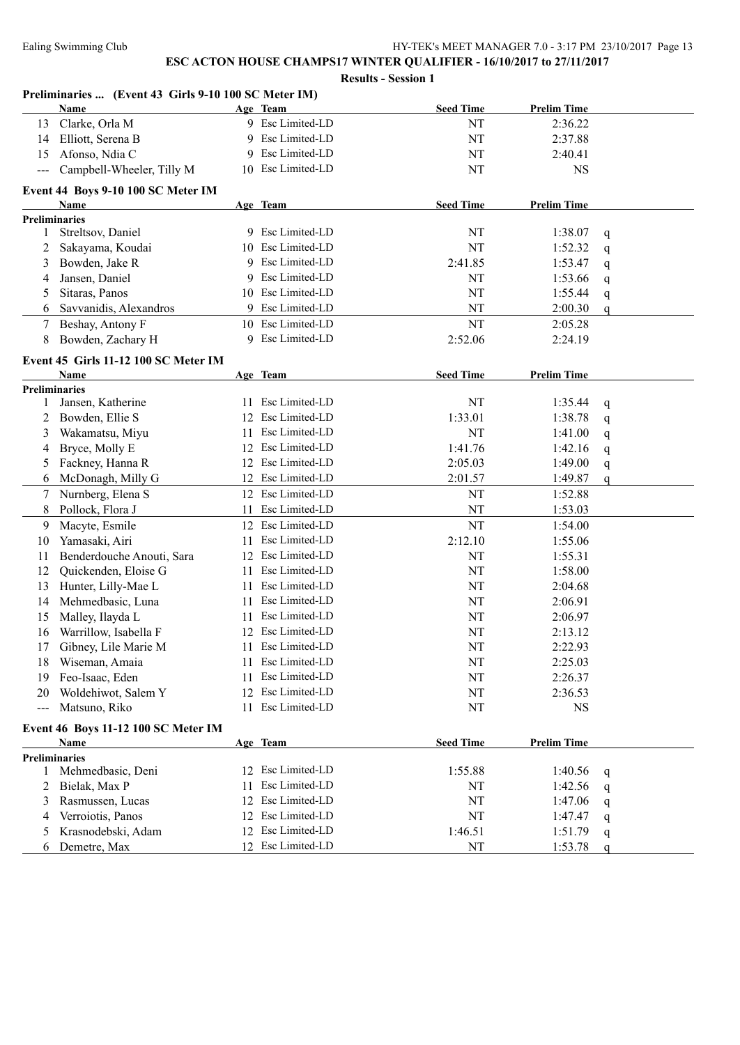|                                     | Preliminaries  (Event 43 Girls 9-10 100 SC Meter IM) |                      |                  |                    |             |  |  |
|-------------------------------------|------------------------------------------------------|----------------------|------------------|--------------------|-------------|--|--|
|                                     | Name                                                 | Age Team             | <b>Seed Time</b> | <b>Prelim Time</b> |             |  |  |
| 13                                  | Clarke, Orla M                                       | 9 Esc Limited-LD     | NT               | 2:36.22            |             |  |  |
| 14                                  | Elliott, Serena B                                    | 9 Esc Limited-LD     | NT               | 2:37.88            |             |  |  |
| 15                                  | Afonso, Ndia C                                       | Esc Limited-LD<br>9  | NT               | 2:40.41            |             |  |  |
| $\frac{1}{2}$                       | Campbell-Wheeler, Tilly M                            | 10 Esc Limited-LD    | NT               | <b>NS</b>          |             |  |  |
|                                     | Event 44 Boys 9-10 100 SC Meter IM                   |                      |                  |                    |             |  |  |
|                                     | Name                                                 | Age Team             | <b>Seed Time</b> | <b>Prelim Time</b> |             |  |  |
|                                     | <b>Preliminaries</b>                                 |                      |                  |                    |             |  |  |
| 1                                   | Streltsov, Daniel                                    | 9 Esc Limited-LD     | NT               | 1:38.07            | q           |  |  |
| 2                                   | Sakayama, Koudai                                     | 10 Esc Limited-LD    | NT               | 1:52.32            | q           |  |  |
| 3                                   | Bowden, Jake R                                       | Esc Limited-LD<br>9  | 2:41.85          | 1:53.47            | q           |  |  |
| 4                                   | Jansen, Daniel                                       | Esc Limited-LD<br>9. | NT               | 1:53.66            | q           |  |  |
| 5                                   | Sitaras, Panos                                       | 10 Esc Limited-LD    | NT               | 1:55.44            | q           |  |  |
| 6                                   | Savvanidis, Alexandros                               | Esc Limited-LD       | NT               | 2:00.30            | q           |  |  |
| 7                                   | Beshay, Antony F                                     | 10 Esc Limited-LD    | NT               | 2:05.28            |             |  |  |
| 8                                   | Bowden, Zachary H                                    | 9 Esc Limited-LD     | 2:52.06          | 2:24.19            |             |  |  |
|                                     | Event 45 Girls 11-12 100 SC Meter IM                 |                      |                  |                    |             |  |  |
|                                     | Name                                                 | Age Team             | <b>Seed Time</b> | <b>Prelim Time</b> |             |  |  |
|                                     | <b>Preliminaries</b>                                 |                      |                  |                    |             |  |  |
| 1                                   | Jansen, Katherine                                    | 11 Esc Limited-LD    | NT               | 1:35.44            | q           |  |  |
|                                     | Bowden, Ellie S                                      | 12 Esc Limited-LD    | 1:33.01          | 1:38.78            | q           |  |  |
| 3                                   | Wakamatsu, Miyu                                      | Esc Limited-LD<br>11 | NT               | 1:41.00            | q           |  |  |
| 4                                   | Bryce, Molly E                                       | Esc Limited-LD<br>12 | 1:41.76          | 1:42.16            | q           |  |  |
| 5                                   | Fackney, Hanna R                                     | Esc Limited-LD<br>12 | 2:05.03          | 1:49.00            | q           |  |  |
| 6                                   | McDonagh, Milly G                                    | Esc Limited-LD<br>12 | 2:01.57          | 1:49.87            | $\mathbf q$ |  |  |
| 7                                   | Nurnberg, Elena S                                    | 12 Esc Limited-LD    | NT               | 1:52.88            |             |  |  |
| 8                                   | Pollock, Flora J                                     | Esc Limited-LD<br>11 | NT               | 1:53.03            |             |  |  |
| 9                                   | Macyte, Esmile                                       | 12 Esc Limited-LD    | NT               | 1:54.00            |             |  |  |
| 10                                  | Yamasaki, Airi                                       | 11 Esc Limited-LD    | 2:12.10          | 1:55.06            |             |  |  |
| 11                                  | Benderdouche Anouti, Sara                            | 12 Esc Limited-LD    | NT               | 1:55.31            |             |  |  |
| 12                                  | Quickenden, Eloise G                                 | 11 Esc Limited-LD    | NT               | 1:58.00            |             |  |  |
| 13                                  | Hunter, Lilly-Mae L                                  | Esc Limited-LD<br>11 | NT               | 2:04.68            |             |  |  |
| 14                                  | Mehmedbasic, Luna                                    | Esc Limited-LD<br>11 | NT               | 2:06.91            |             |  |  |
| 15                                  | Malley, Ilayda L                                     | Esc Limited-LD<br>11 | NT               | 2:06.97            |             |  |  |
| 16                                  | Warrillow, Isabella F                                | 12 Esc Limited-LD    | NT               | 2:13.12            |             |  |  |
| 17                                  | Gibney, Lile Marie M                                 | 11 Esc Limited-LD    | NT               | 2:22.93            |             |  |  |
| 18                                  | Wiseman, Amaia                                       | Esc Limited-LD<br>11 | NT               | 2:25.03            |             |  |  |
| 19                                  | Feo-Isaac, Eden                                      | Esc Limited-LD<br>11 | NT               | 2:26.37            |             |  |  |
| 20                                  | Woldehiwot, Salem Y                                  | Esc Limited-LD<br>12 | NT               | 2:36.53            |             |  |  |
| $\sim$ $\sim$                       | Matsuno, Riko                                        | Esc Limited-LD<br>11 | NT               | <b>NS</b>          |             |  |  |
| Event 46 Boys 11-12 100 SC Meter IM |                                                      |                      |                  |                    |             |  |  |
|                                     | Name                                                 | Age Team             | <b>Seed Time</b> | <b>Prelim Time</b> |             |  |  |
|                                     | <b>Preliminaries</b>                                 |                      |                  |                    |             |  |  |
| 1                                   | Mehmedbasic, Deni                                    | 12 Esc Limited-LD    | 1:55.88          | 1:40.56            | q           |  |  |
| 2                                   | Bielak, Max P                                        | Esc Limited-LD<br>11 | NT               | 1:42.56            | q           |  |  |
| 3                                   | Rasmussen, Lucas                                     | Esc Limited-LD<br>12 | NT               | 1:47.06            | q           |  |  |
| 4                                   | Verroiotis, Panos                                    | Esc Limited-LD<br>12 | NT               | 1:47.47            | q           |  |  |
| 5                                   | Krasnodebski, Adam                                   | 12 Esc Limited-LD    | 1:46.51          | 1:51.79            | q           |  |  |
| 6                                   | Demetre, Max                                         | 12 Esc Limited-LD    | NT               | 1:53.78            | $\mathbf q$ |  |  |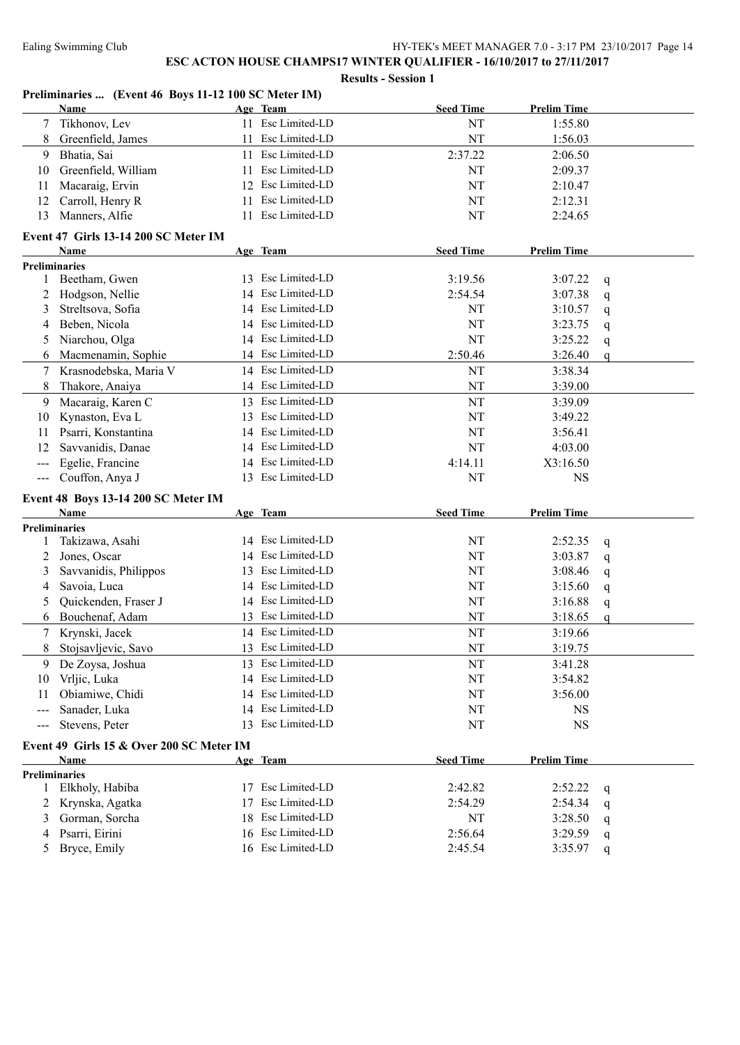|       | Name                                     |          | Age Team          | <b>Seed Time</b> | <b>Prelim Time</b>     |                  |
|-------|------------------------------------------|----------|-------------------|------------------|------------------------|------------------|
| 7     | Tikhonov, Lev                            |          | 11 Esc Limited-LD | NT               | 1:55.80                |                  |
| 8     | Greenfield, James                        | 11       | Esc Limited-LD    | NT               | 1:56.03                |                  |
| 9     | Bhatia, Sai                              | 11       | Esc Limited-LD    | 2:37.22          | 2:06.50                |                  |
| 10    | Greenfield, William                      | 11       | Esc Limited-LD    | NT               | 2:09.37                |                  |
| 11    | Macaraig, Ervin                          | 12       | Esc Limited-LD    | NT               | 2:10.47                |                  |
| 12    | Carroll, Henry R                         | 11       | Esc Limited-LD    | NT               | 2:12.31                |                  |
| 13    | Manners, Alfie                           | 11       | Esc Limited-LD    | NT               | 2:24.65                |                  |
|       | Event 47 Girls 13-14 200 SC Meter IM     |          |                   |                  |                        |                  |
|       | Name                                     |          | Age Team          | <b>Seed Time</b> | <b>Prelim Time</b>     |                  |
|       | <b>Preliminaries</b>                     |          |                   |                  |                        |                  |
|       | 1 Beetham, Gwen                          |          | 13 Esc Limited-LD | 3:19.56          | 3:07.22                | q                |
| 2     | Hodgson, Nellie                          |          | 14 Esc Limited-LD | 2:54.54          | 3:07.38                | q                |
| 3     | Streltsova, Sofia                        |          | 14 Esc Limited-LD | NT               | 3:10.57                | q                |
| 4     | Beben, Nicola                            |          | 14 Esc Limited-LD | NT               | 3:23.75                | q                |
| 5     | Niarchou, Olga                           |          | 14 Esc Limited-LD | NT               | 3:25.22                | q                |
| 6     | Macmenamin, Sophie                       |          | 14 Esc Limited-LD | 2:50.46          | 3:26.40                | $\mathbf{q}$     |
| 7     | Krasnodebska, Maria V                    | 14       | Esc Limited-LD    | NT               | 3:38.34                |                  |
| 8     | Thakore, Anaiya                          |          | 14 Esc Limited-LD | NT               | 3:39.00                |                  |
| 9     | Macaraig, Karen C                        |          | 13 Esc Limited-LD | NT               | 3:39.09                |                  |
| 10    | Kynaston, Eva L                          | 13       | Esc Limited-LD    | NT               | 3:49.22                |                  |
| 11    | Psarri, Konstantina                      | 14       | Esc Limited-LD    | NT               | 3:56.41                |                  |
| 12    | Savvanidis, Danae                        |          | 14 Esc Limited-LD | NT               | 4:03.00                |                  |
|       | Egelie, Francine                         |          | 14 Esc Limited-LD | 4:14.11          | X3:16.50               |                  |
| $---$ | Couffon, Anya J                          |          | 13 Esc Limited-LD | NT               | <b>NS</b>              |                  |
|       |                                          |          |                   |                  |                        |                  |
|       | Event 48 Boys 13-14 200 SC Meter IM      |          |                   |                  |                        |                  |
|       | Name<br><b>Preliminaries</b>             |          | Age Team          | <b>Seed Time</b> | <b>Prelim Time</b>     |                  |
| 1     | Takizawa, Asahi                          |          | 14 Esc Limited-LD | NT               | 2:52.35                | q                |
| 2     | Jones, Oscar                             |          | 14 Esc Limited-LD | NT               | 3:03.87                | q                |
| 3     | Savvanidis, Philippos                    | 13       | Esc Limited-LD    | NT               | 3:08.46                | q                |
| 4     | Savoia, Luca                             | 14       | Esc Limited-LD    | NT               | 3:15.60                | q                |
| 5     | Quickenden, Fraser J                     | 14       | Esc Limited-LD    | NT               | 3:16.88                |                  |
| 6     | Bouchenaf, Adam                          |          | 13 Esc Limited-LD | NT               | 3:18.65                | q<br>$\mathbf q$ |
| 7     | Krynski, Jacek                           |          | 14 Esc Limited-LD | NT               | 3:19.66                |                  |
|       | 8 Stojsavljevic, Savo                    |          | 13 Esc Limited-LD | $\rm{NT}$        | 3:19.75                |                  |
| 9     | De Zoysa, Joshua                         | 13       | Esc Limited-LD    | NT               |                        |                  |
|       |                                          |          | Esc Limited-LD    |                  | 3:41.28                |                  |
| 10    | Vrljic, Luka<br>Obiamiwe, Chidi          | 14<br>14 | Esc Limited-LD    | NT<br>NT         | 3:54.82<br>3:56.00     |                  |
| 11    |                                          |          | Esc Limited-LD    |                  |                        |                  |
| $---$ | Sanader, Luka                            | 14<br>13 | Esc Limited-LD    | NT<br>NT         | <b>NS</b><br><b>NS</b> |                  |
| $---$ | Stevens, Peter                           |          |                   |                  |                        |                  |
|       | Event 49 Girls 15 & Over 200 SC Meter IM |          |                   |                  |                        |                  |
|       | Name                                     |          | Age Team          | <b>Seed Time</b> | <b>Prelim Time</b>     |                  |
|       | <b>Preliminaries</b>                     |          |                   |                  |                        |                  |
| 1     | Elkholy, Habiba                          |          | 17 Esc Limited-LD | 2:42.82          | 2:52.22                | q                |
| 2     | Krynska, Agatka                          | 17       | Esc Limited-LD    | 2:54.29          | 2:54.34                | q                |
| 3     | Gorman, Sorcha                           | 18       | Esc Limited-LD    | NT               | 3:28.50                | q                |
| 4     | Psarri, Eirini                           | 16       | Esc Limited-LD    | 2:56.64          | 3:29.59                | q                |
| 5     | Bryce, Emily                             |          | 16 Esc Limited-LD | 2:45.54          | 3:35.97                | q                |